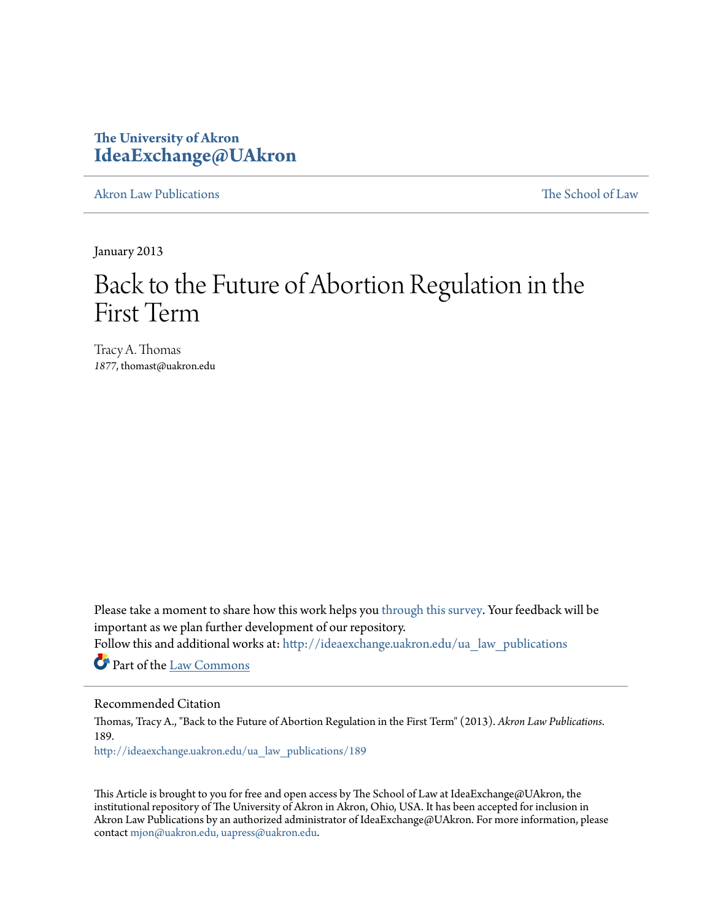# **The University of Akron [IdeaExchange@UAkron](http://ideaexchange.uakron.edu?utm_source=ideaexchange.uakron.edu%2Fua_law_publications%2F189&utm_medium=PDF&utm_campaign=PDFCoverPages)**

[Akron Law Publications](http://ideaexchange.uakron.edu/ua_law_publications?utm_source=ideaexchange.uakron.edu%2Fua_law_publications%2F189&utm_medium=PDF&utm_campaign=PDFCoverPages) [The School of Law](http://ideaexchange.uakron.edu/ua_law?utm_source=ideaexchange.uakron.edu%2Fua_law_publications%2F189&utm_medium=PDF&utm_campaign=PDFCoverPages)

January 2013

# Back to the Future of Abortion Regulation in the First Term

Tracy A. Thomas 1877, thomast@uakron.edu

Please take a moment to share how this work helps you [through this survey.](http://survey.az1.qualtrics.com/SE/?SID=SV_eEVH54oiCbOw05f&URL=http://ideaexchange.uakron.edu/ua_law_publications/189) Your feedback will be important as we plan further development of our repository.

Follow this and additional works at: [http://ideaexchange.uakron.edu/ua\\_law\\_publications](http://ideaexchange.uakron.edu/ua_law_publications?utm_source=ideaexchange.uakron.edu%2Fua_law_publications%2F189&utm_medium=PDF&utm_campaign=PDFCoverPages)

Part of the [Law Commons](http://network.bepress.com/hgg/discipline/578?utm_source=ideaexchange.uakron.edu%2Fua_law_publications%2F189&utm_medium=PDF&utm_campaign=PDFCoverPages)

#### Recommended Citation

Thomas, Tracy A., "Back to the Future of Abortion Regulation in the First Term" (2013). *Akron Law Publications*. 189.

[http://ideaexchange.uakron.edu/ua\\_law\\_publications/189](http://ideaexchange.uakron.edu/ua_law_publications/189?utm_source=ideaexchange.uakron.edu%2Fua_law_publications%2F189&utm_medium=PDF&utm_campaign=PDFCoverPages)

This Article is brought to you for free and open access by The School of Law at IdeaExchange@UAkron, the institutional repository of The University of Akron in Akron, Ohio, USA. It has been accepted for inclusion in Akron Law Publications by an authorized administrator of IdeaExchange@UAkron. For more information, please contact [mjon@uakron.edu, uapress@uakron.edu.](mailto:mjon@uakron.edu,%20uapress@uakron.edu)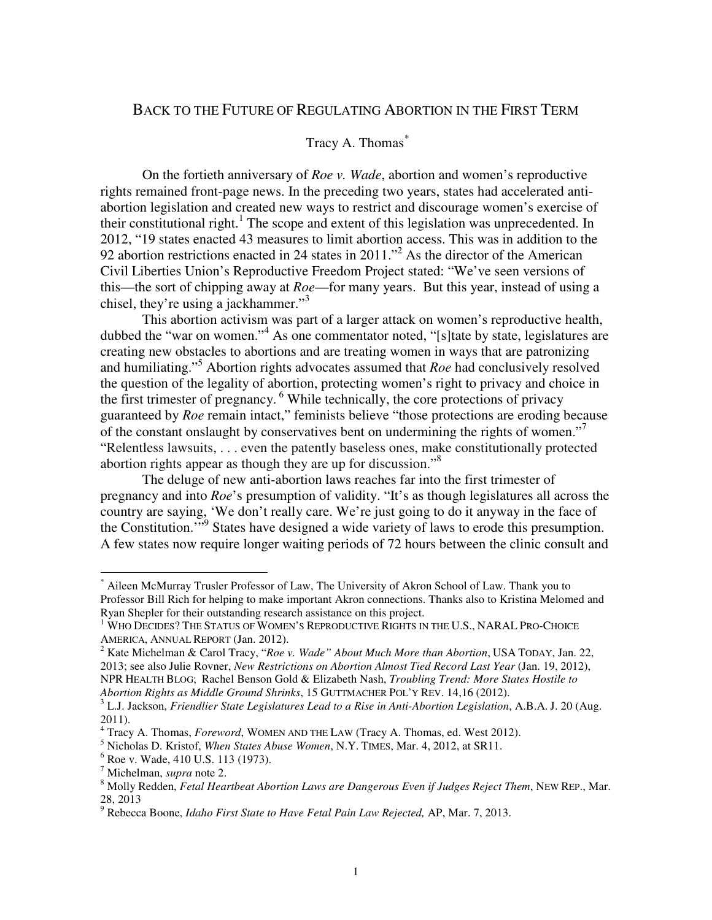# BACK TO THE FUTURE OF REGULATING ABORTION IN THE FIRST TERM

# Tracy A. Thomas*\**

On the fortieth anniversary of *Roe v. Wade*, abortion and women's reproductive rights remained front-page news. In the preceding two years, states had accelerated antiabortion legislation and created new ways to restrict and discourage women's exercise of their constitutional right.<sup>1</sup> The scope and extent of this legislation was unprecedented. In 2012, "19 states enacted 43 measures to limit abortion access. This was in addition to the 92 abortion restrictions enacted in 24 states in 2011."<sup>2</sup> As the director of the American Civil Liberties Union's Reproductive Freedom Project stated: "We've seen versions of this—the sort of chipping away at *Roe*—for many years. But this year, instead of using a chisel, they're using a jackhammer."<sup>3</sup>

This abortion activism was part of a larger attack on women's reproductive health, dubbed the "war on women."<sup>4</sup> As one commentator noted, "[s]tate by state, legislatures are creating new obstacles to abortions and are treating women in ways that are patronizing and humiliating."<sup>5</sup> Abortion rights advocates assumed that *Roe* had conclusively resolved the question of the legality of abortion, protecting women's right to privacy and choice in the first trimester of pregnancy.<sup>6</sup> While technically, the core protections of privacy guaranteed by *Roe* remain intact," feminists believe "those protections are eroding because of the constant onslaught by conservatives bent on undermining the rights of women."<sup>7</sup> "Relentless lawsuits, . . . even the patently baseless ones, make constitutionally protected abortion rights appear as though they are up for discussion."<sup>8</sup>

The deluge of new anti-abortion laws reaches far into the first trimester of pregnancy and into *Roe*'s presumption of validity. "It's as though legislatures all across the country are saying, 'We don't really care. We're just going to do it anyway in the face of the Constitution."<sup>9</sup> States have designed a wide variety of laws to erode this presumption. A few states now require longer waiting periods of 72 hours between the clinic consult and

<sup>\*</sup> Aileen McMurray Trusler Professor of Law, The University of Akron School of Law. Thank you to Professor Bill Rich for helping to make important Akron connections. Thanks also to Kristina Melomed and Ryan Shepler for their outstanding research assistance on this project.

<sup>&</sup>lt;sup>1</sup> WHO DECIDES? THE STATUS OF WOMEN'S REPRODUCTIVE RIGHTS IN THE U.S., NARAL PRO-CHOICE AMERICA, ANNUAL REPORT (Jan. 2012).

<sup>2</sup> Kate Michelman & Carol Tracy, "*Roe v. Wade" About Much More than Abortion*, USA TODAY, Jan. 22, 2013; see also Julie Rovner, *New Restrictions on Abortion Almost Tied Record Last Year* (Jan. 19, 2012), NPR HEALTH BLOG; Rachel Benson Gold & Elizabeth Nash, *Troubling Trend: More States Hostile to Abortion Rights as Middle Ground Shrinks*, 15 GUTTMACHER POL'Y REV. 14,16 (2012).

<sup>3</sup> L.J. Jackson, *Friendlier State Legislatures Lead to a Rise in Anti-Abortion Legislation*, A.B.A. J. 20 (Aug. 2011).

<sup>4</sup> Tracy A. Thomas, *Foreword*, WOMEN AND THE LAW (Tracy A. Thomas, ed. West 2012).

<sup>5</sup> Nicholas D. Kristof, *When States Abuse Women*, N.Y. TIMES, Mar. 4, 2012, at SR11.

<sup>6</sup> Roe v. Wade, 410 U.S. 113 (1973).

<sup>7</sup> Michelman, *supra* note 2.

<sup>8</sup> Molly Redden, *Fetal Heartbeat Abortion Laws are Dangerous Even if Judges Reject Them*, NEW REP., Mar. 28, 2013

<sup>9</sup> Rebecca Boone, *Idaho First State to Have Fetal Pain Law Rejected,* AP, Mar. 7, 2013.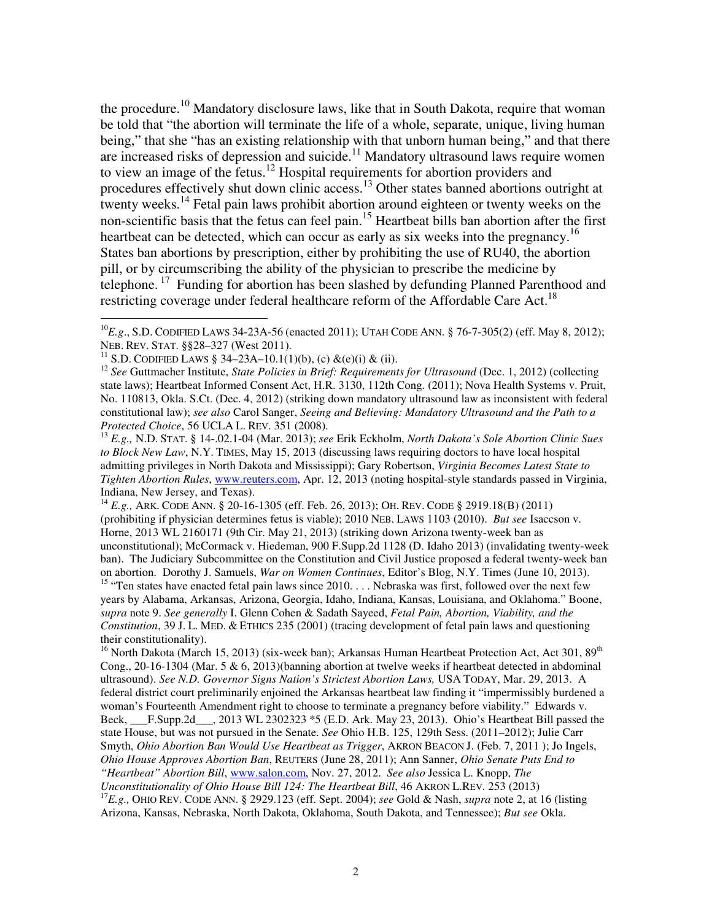the procedure.<sup>10</sup> Mandatory disclosure laws, like that in South Dakota, require that woman be told that "the abortion will terminate the life of a whole, separate, unique, living human being," that she "has an existing relationship with that unborn human being," and that there are increased risks of depression and suicide.<sup>11</sup> Mandatory ultrasound laws require women to view an image of the fetus.<sup>12</sup> Hospital requirements for abortion providers and procedures effectively shut down clinic access.<sup>13</sup> Other states banned abortions outright at twenty weeks.<sup>14</sup> Fetal pain laws prohibit abortion around eighteen or twenty weeks on the non-scientific basis that the fetus can feel pain.<sup>15</sup> Heartbeat bills ban abortion after the first heartbeat can be detected, which can occur as early as six weeks into the pregnancy.<sup>16</sup> States ban abortions by prescription, either by prohibiting the use of RU40, the abortion pill, or by circumscribing the ability of the physician to prescribe the medicine by telephone.<sup>17</sup> Funding for abortion has been slashed by defunding Planned Parenthood and restricting coverage under federal healthcare reform of the Affordable Care Act.<sup>18</sup>

 $\overline{a}$ 

<sup>14</sup> *E.g.,* ARK. CODE ANN. § 20-16-1305 (eff. Feb. 26, 2013); OH. REV. CODE § 2919.18(B) (2011) (prohibiting if physician determines fetus is viable); 2010 NEB. LAWS 1103 (2010). *But see* Isaccson v. Horne, 2013 WL 2160171 (9th Cir. May 21, 2013) (striking down Arizona twenty-week ban as unconstitutional); McCormack v. Hiedeman, 900 F.Supp.2d 1128 (D. Idaho 2013) (invalidating twenty-week ban). The Judiciary Subcommittee on the Constitution and Civil Justice proposed a federal twenty-week ban on abortion. Dorothy J. Samuels, *War on Women Continues*, Editor's Blog, N.Y. Times (June 10, 2013). <sup>15</sup> "Ten states have enacted fetal pain laws since 2010... Nebraska was first, followed over the next few years by Alabama, Arkansas, Arizona, Georgia, Idaho, Indiana, Kansas, Louisiana, and Oklahoma." Boone, *supra* note 9. *See generally* I. Glenn Cohen & Sadath Sayeed, *Fetal Pain, Abortion, Viability, and the Constitution*, 39 J. L. MED. & ETHICS 235 (2001) (tracing development of fetal pain laws and questioning their constitutionality).

<sup>16</sup> North Dakota (March 15, 2013) (six-week ban); Arkansas Human Heartbeat Protection Act, Act 301, 89<sup>th</sup> Cong., 20-16-1304 (Mar. 5 & 6, 2013)(banning abortion at twelve weeks if heartbeat detected in abdominal ultrasound). *See N.D. Governor Signs Nation's Strictest Abortion Laws,* USA TODAY, Mar. 29, 2013. A federal district court preliminarily enjoined the Arkansas heartbeat law finding it "impermissibly burdened a woman's Fourteenth Amendment right to choose to terminate a pregnancy before viability." Edwards v. Beck, \_\_\_F.Supp.2d\_\_\_, 2013 WL 2302323 \*5 (E.D. Ark. May 23, 2013). Ohio's Heartbeat Bill passed the state House, but was not pursued in the Senate. *See* Ohio H.B. 125, 129th Sess. (2011–2012); Julie Carr Smyth, *Ohio Abortion Ban Would Use Heartbeat as Trigger*, AKRON BEACON J. (Feb. 7, 2011 ); Jo Ingels, *Ohio House Approves Abortion Ban*, REUTERS (June 28, 2011); Ann Sanner, *Ohio Senate Puts End to "Heartbeat" Abortion Bill*, www.salon.com, Nov. 27, 2012. *See also* Jessica L. Knopp, *The Unconstitutionality of Ohio House Bill 124: The Heartbeat Bill*, 46 AKRON L.REV. 253 (2013) <sup>17</sup>*E.g.,* OHIO REV. CODE ANN. § 2929.123 (eff. Sept. 2004); *see* Gold & Nash, *supra* note 2, at 16 (listing

Arizona, Kansas, Nebraska, North Dakota, Oklahoma, South Dakota, and Tennessee); *But see* Okla.

<sup>10</sup>*E.g*., S.D. CODIFIED LAWS 34-23A-56 (enacted 2011); UTAH CODE ANN. § 76-7-305(2) (eff. May 8, 2012); NEB. REV. STAT. §§28–327 (West 2011).

<sup>&</sup>lt;sup>11</sup> S.D. CODIFIED LAWS § 34–23A–10.1(1)(b), (c) &(e)(i) & (ii).

<sup>&</sup>lt;sup>12</sup> See Guttmacher Institute, *State Policies in Brief: Requirements for Ultrasound* (Dec. 1, 2012) (collecting state laws); Heartbeat Informed Consent Act, H.R. 3130, 112th Cong. (2011); Nova Health Systems v. Pruit, No. 110813, Okla. S.Ct. (Dec. 4, 2012) (striking down mandatory ultrasound law as inconsistent with federal constitutional law); *see also* Carol Sanger, *Seeing and Believing: Mandatory Ultrasound and the Path to a Protected Choice*, 56 UCLA L. REV. 351 (2008).

<sup>13</sup> *E.g.,* N.D. STAT. § 14-.02.1-04 (Mar. 2013); *see* Erik Eckholm, *North Dakota's Sole Abortion Clinic Sues to Block New Law*, N.Y. TIMES, May 15, 2013 (discussing laws requiring doctors to have local hospital admitting privileges in North Dakota and Mississippi); Gary Robertson, *Virginia Becomes Latest State to Tighten Abortion Rules*, www.reuters.com, Apr. 12, 2013 (noting hospital-style standards passed in Virginia, Indiana, New Jersey, and Texas).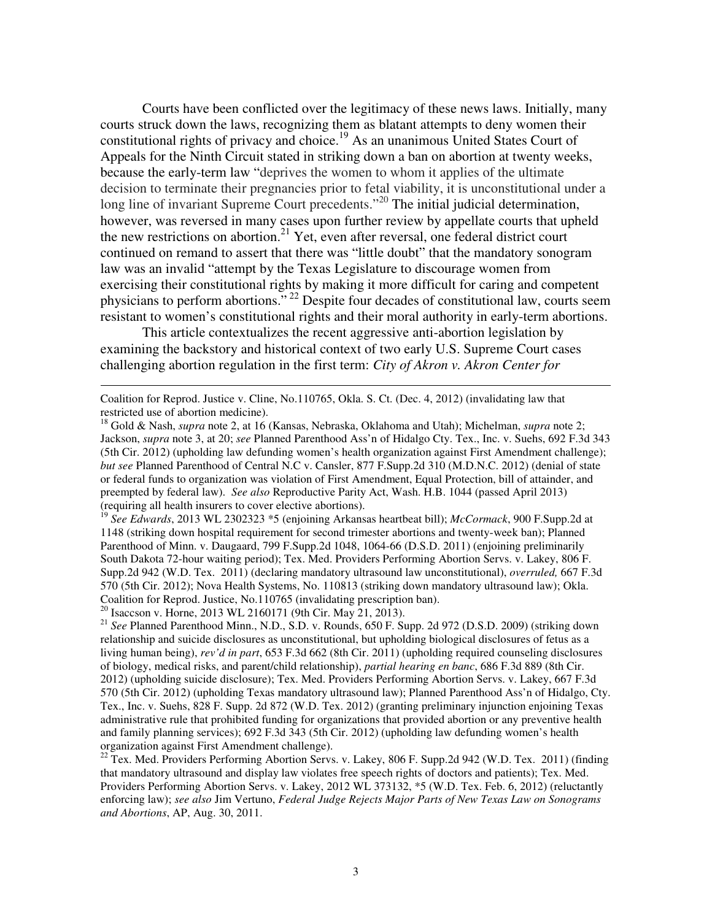Courts have been conflicted over the legitimacy of these news laws. Initially, many courts struck down the laws, recognizing them as blatant attempts to deny women their constitutional rights of privacy and choice.<sup>19</sup> As an unanimous United States Court of Appeals for the Ninth Circuit stated in striking down a ban on abortion at twenty weeks, because the early-term law "deprives the women to whom it applies of the ultimate decision to terminate their pregnancies prior to fetal viability, it is unconstitutional under a long line of invariant Supreme Court precedents."<sup>20</sup> The initial judicial determination, however, was reversed in many cases upon further review by appellate courts that upheld the new restrictions on abortion.<sup>21</sup> Yet, even after reversal, one federal district court continued on remand to assert that there was "little doubt" that the mandatory sonogram law was an invalid "attempt by the Texas Legislature to discourage women from exercising their constitutional rights by making it more difficult for caring and competent physicians to perform abortions."<sup>22</sup> Despite four decades of constitutional law, courts seem resistant to women's constitutional rights and their moral authority in early-term abortions.

This article contextualizes the recent aggressive anti-abortion legislation by examining the backstory and historical context of two early U.S. Supreme Court cases challenging abortion regulation in the first term: *City of Akron v. Akron Center for* 

<sup>19</sup> *See Edwards*, 2013 WL 2302323 \*5 (enjoining Arkansas heartbeat bill); *McCormack*, 900 F.Supp.2d at 1148 (striking down hospital requirement for second trimester abortions and twenty-week ban); Planned Parenthood of Minn. v. Daugaard, 799 F.Supp.2d 1048, 1064-66 (D.S.D. 2011) (enjoining preliminarily South Dakota 72-hour waiting period); Tex. Med. Providers Performing Abortion Servs. v. Lakey, 806 F. Supp.2d 942 (W.D. Tex. 2011) (declaring mandatory ultrasound law unconstitutional), *overruled,* 667 F.3d 570 (5th Cir. 2012); Nova Health Systems, No. 110813 (striking down mandatory ultrasound law); Okla. Coalition for Reprod. Justice, No.110765 (invalidating prescription ban).

<sup>20</sup> Isaccson v. Horne, 2013 WL 2160171 (9th Cir. May 21, 2013).

 $\overline{a}$ 

<sup>21</sup> *See* Planned Parenthood Minn., N.D., S.D. v. Rounds, 650 F. Supp. 2d 972 (D.S.D. 2009) (striking down relationship and suicide disclosures as unconstitutional, but upholding biological disclosures of fetus as a living human being), *rev'd in part*, 653 F.3d 662 (8th Cir. 2011) (upholding required counseling disclosures of biology, medical risks, and parent/child relationship), *partial hearing en banc*, 686 F.3d 889 (8th Cir. 2012) (upholding suicide disclosure); Tex. Med. Providers Performing Abortion Servs. v. Lakey, 667 F.3d 570 (5th Cir. 2012) (upholding Texas mandatory ultrasound law); Planned Parenthood Ass'n of Hidalgo, Cty. Tex., Inc. v. Suehs, 828 F. Supp. 2d 872 (W.D. Tex. 2012) (granting preliminary injunction enjoining Texas administrative rule that prohibited funding for organizations that provided abortion or any preventive health and family planning services); 692 F.3d 343 (5th Cir. 2012) (upholding law defunding women's health organization against First Amendment challenge).

<sup>22</sup> Tex. Med. Providers Performing Abortion Servs. v. Lakey, 806 F. Supp.2d 942 (W.D. Tex. 2011) (finding that mandatory ultrasound and display law violates free speech rights of doctors and patients); Tex. Med. Providers Performing Abortion Servs. v. Lakey, 2012 WL 373132, \*5 (W.D. Tex. Feb. 6, 2012) (reluctantly enforcing law); *see also* Jim Vertuno, *Federal Judge Rejects Major Parts of New Texas Law on Sonograms and Abortions*, AP, Aug. 30, 2011.

Coalition for Reprod. Justice v. Cline, No.110765, Okla. S. Ct. (Dec. 4, 2012) (invalidating law that restricted use of abortion medicine).

<sup>18</sup> Gold & Nash, *supra* note 2, at 16 (Kansas, Nebraska, Oklahoma and Utah); Michelman, *supra* note 2; Jackson, *supra* note 3, at 20; *see* Planned Parenthood Ass'n of Hidalgo Cty. Tex., Inc. v. Suehs, 692 F.3d 343 (5th Cir. 2012) (upholding law defunding women's health organization against First Amendment challenge); *but see* Planned Parenthood of Central N.C v. Cansler, 877 F.Supp.2d 310 (M.D.N.C. 2012) (denial of state or federal funds to organization was violation of First Amendment, Equal Protection, bill of attainder, and preempted by federal law). *See also* Reproductive Parity Act, Wash. H.B. 1044 (passed April 2013) (requiring all health insurers to cover elective abortions).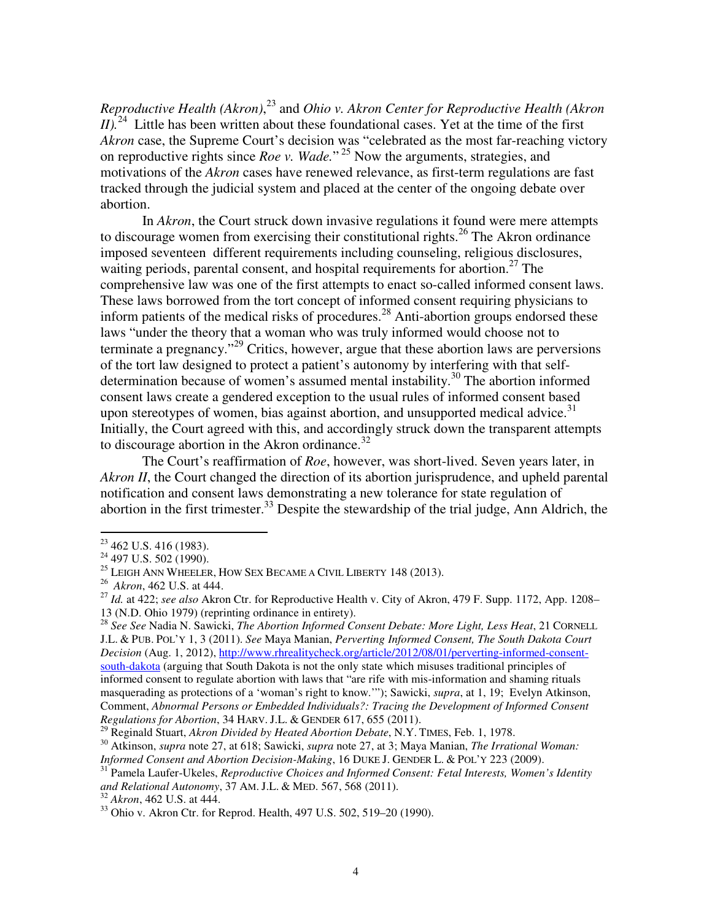*Reproductive Health (Akron)*, <sup>23</sup> and *Ohio v. Akron Center for Reproductive Health (Akron*   $I$ <sup>24</sup> Little has been written about these foundational cases. Yet at the time of the first *Akron* case, the Supreme Court's decision was "celebrated as the most far-reaching victory on reproductive rights since *Roe v. Wade.*" <sup>25</sup> Now the arguments, strategies, and motivations of the *Akron* cases have renewed relevance, as first-term regulations are fast tracked through the judicial system and placed at the center of the ongoing debate over abortion.

In *Akron*, the Court struck down invasive regulations it found were mere attempts to discourage women from exercising their constitutional rights.<sup>26</sup> The Akron ordinance imposed seventeen different requirements including counseling, religious disclosures, waiting periods, parental consent, and hospital requirements for abortion.<sup>27</sup> The comprehensive law was one of the first attempts to enact so-called informed consent laws. These laws borrowed from the tort concept of informed consent requiring physicians to inform patients of the medical risks of procedures.<sup>28</sup> Anti-abortion groups endorsed these laws "under the theory that a woman who was truly informed would choose not to terminate a pregnancy."<sup>29</sup> Critics, however, argue that these abortion laws are perversions of the tort law designed to protect a patient's autonomy by interfering with that selfdetermination because of women's assumed mental instability.<sup>30</sup> The abortion informed consent laws create a gendered exception to the usual rules of informed consent based upon stereotypes of women, bias against abortion, and unsupported medical advice. $31$ Initially, the Court agreed with this, and accordingly struck down the transparent attempts to discourage abortion in the Akron ordinance. $32$ 

The Court's reaffirmation of *Roe*, however, was short-lived. Seven years later, in *Akron II*, the Court changed the direction of its abortion jurisprudence, and upheld parental notification and consent laws demonstrating a new tolerance for state regulation of abortion in the first trimester.<sup>33</sup> Despite the stewardship of the trial judge, Ann Aldrich, the

 $\overline{a}$ 

<sup>28</sup> *See See* Nadia N. Sawicki, *The Abortion Informed Consent Debate: More Light, Less Heat*, 21 CORNELL J.L. & PUB. POL'Y 1, 3 (2011). *See* Maya Manian, *Perverting Informed Consent, The South Dakota Court Decision* (Aug. 1, 2012), http://www.rhrealitycheck.org/article/2012/08/01/perverting-informed-consentsouth-dakota (arguing that South Dakota is not the only state which misuses traditional principles of informed consent to regulate abortion with laws that "are rife with mis-information and shaming rituals masquerading as protections of a 'woman's right to know.'"); Sawicki, *supra*, at 1, 19; Evelyn Atkinson, Comment, *Abnormal Persons or Embedded Individuals?: Tracing the Development of Informed Consent Regulations for Abortion*, 34 HARV. J.L. & GENDER 617, 655 (2011).

 $23$  462 U.S. 416 (1983).

<sup>&</sup>lt;sup>24</sup> 497 U.S. 502 (1990).

 $^{25}$  LEIGH ANN WHEELER, HOW SEX BECAME A CIVIL LIBERTY 148 (2013).

<sup>26</sup> *Akron*, 462 U.S. at 444.

<sup>&</sup>lt;sup>27</sup> *Id.* at 422; see also Akron Ctr. for Reproductive Health v. City of Akron, 479 F. Supp. 1172, App. 1208– 13 (N.D. Ohio 1979) (reprinting ordinance in entirety).

<sup>29</sup> Reginald Stuart, *Akron Divided by Heated Abortion Debate*, N.Y. TIMES, Feb. 1, 1978.

<sup>30</sup> Atkinson, *supra* note 27, at 618; Sawicki, *supra* note 27, at 3; Maya Manian, *The Irrational Woman: Informed Consent and Abortion Decision-Making*, 16 DUKE J. GENDER L. & POL'Y 223 (2009).

<sup>&</sup>lt;sup>31</sup> Pamela Laufer-Ukeles, *Reproductive Choices and Informed Consent: Fetal Interests, Women's Identity and Relational Autonomy*, 37 AM. J.L. & MED. 567, 568 (2011).

<sup>32</sup> *Akron*, 462 U.S. at 444.

<sup>33</sup> Ohio v. Akron Ctr. for Reprod. Health, 497 U.S. 502, 519–20 (1990).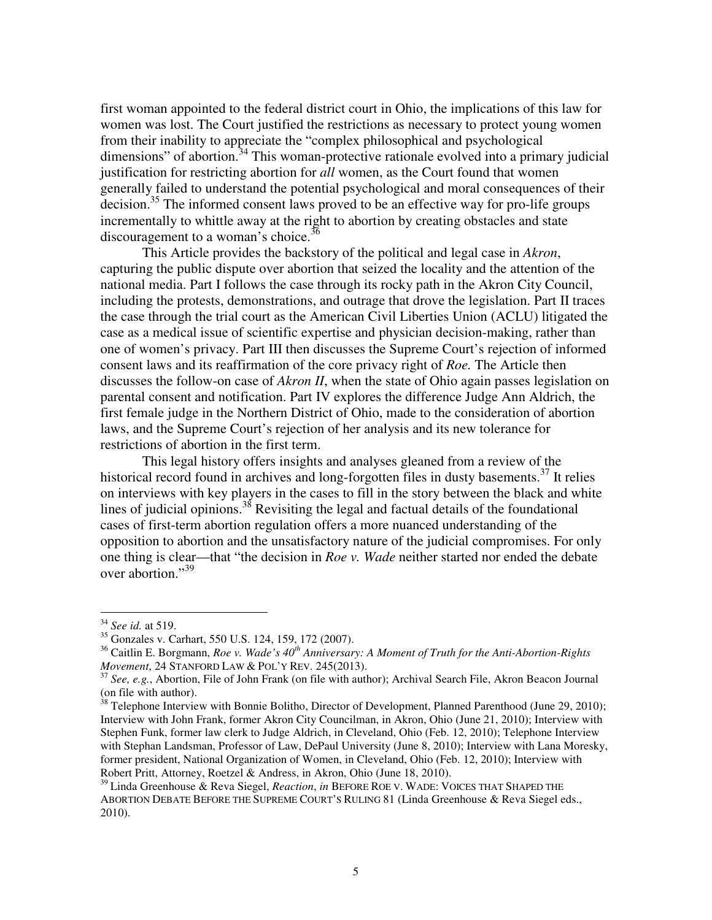first woman appointed to the federal district court in Ohio, the implications of this law for women was lost. The Court justified the restrictions as necessary to protect young women from their inability to appreciate the "complex philosophical and psychological dimensions" of abortion. $34$  This woman-protective rationale evolved into a primary judicial justification for restricting abortion for *all* women, as the Court found that women generally failed to understand the potential psychological and moral consequences of their decision.<sup>35</sup> The informed consent laws proved to be an effective way for pro-life groups incrementally to whittle away at the right to abortion by creating obstacles and state discouragement to a woman's choice.<sup>36</sup>

This Article provides the backstory of the political and legal case in *Akron*, capturing the public dispute over abortion that seized the locality and the attention of the national media. Part I follows the case through its rocky path in the Akron City Council, including the protests, demonstrations, and outrage that drove the legislation. Part II traces the case through the trial court as the American Civil Liberties Union (ACLU) litigated the case as a medical issue of scientific expertise and physician decision-making, rather than one of women's privacy. Part III then discusses the Supreme Court's rejection of informed consent laws and its reaffirmation of the core privacy right of *Roe.* The Article then discusses the follow-on case of *Akron II*, when the state of Ohio again passes legislation on parental consent and notification. Part IV explores the difference Judge Ann Aldrich, the first female judge in the Northern District of Ohio, made to the consideration of abortion laws, and the Supreme Court's rejection of her analysis and its new tolerance for restrictions of abortion in the first term.

This legal history offers insights and analyses gleaned from a review of the historical record found in archives and long-forgotten files in dusty basements.<sup>37</sup> It relies on interviews with key players in the cases to fill in the story between the black and white lines of judicial opinions. $38$  Revisiting the legal and factual details of the foundational cases of first-term abortion regulation offers a more nuanced understanding of the opposition to abortion and the unsatisfactory nature of the judicial compromises. For only one thing is clear—that "the decision in *Roe v. Wade* neither started nor ended the debate over abortion."<sup>39</sup>

<sup>34</sup> *See id.* at 519.

<sup>35</sup> Gonzales v. Carhart, 550 U.S. 124, 159, 172 (2007).

<sup>36</sup> Caitlin E. Borgmann, *Roe v. Wade's 40th Anniversary: A Moment of Truth for the Anti-Abortion-Rights Movement*, 24 STANFORD LAW & POL'Y REV. 245(2013).

<sup>37</sup> *See, e.g.*, Abortion, File of John Frank (on file with author); Archival Search File, Akron Beacon Journal (on file with author).

 $38$  Telephone Interview with Bonnie Bolitho, Director of Development, Planned Parenthood (June 29, 2010); Interview with John Frank, former Akron City Councilman, in Akron, Ohio (June 21, 2010); Interview with Stephen Funk, former law clerk to Judge Aldrich, in Cleveland, Ohio (Feb. 12, 2010); Telephone Interview with Stephan Landsman, Professor of Law, DePaul University (June 8, 2010); Interview with Lana Moresky, former president, National Organization of Women, in Cleveland, Ohio (Feb. 12, 2010); Interview with Robert Pritt, Attorney, Roetzel & Andress, in Akron, Ohio (June 18, 2010).

<sup>39</sup> Linda Greenhouse & Reva Siegel, *Reaction*, *in* BEFORE ROE V. WADE: VOICES THAT SHAPED THE ABORTION DEBATE BEFORE THE SUPREME COURT'S RULING 81 (Linda Greenhouse & Reva Siegel eds., 2010).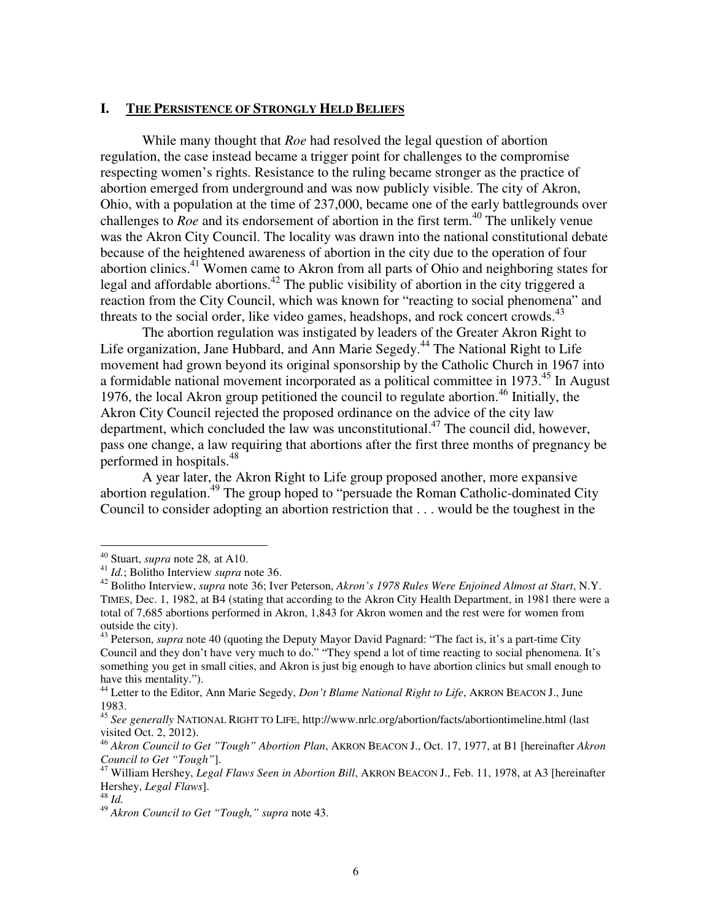# **I. THE PERSISTENCE OF STRONGLY HELD BELIEFS**

While many thought that *Roe* had resolved the legal question of abortion regulation, the case instead became a trigger point for challenges to the compromise respecting women's rights. Resistance to the ruling became stronger as the practice of abortion emerged from underground and was now publicly visible. The city of Akron, Ohio, with a population at the time of 237,000, became one of the early battlegrounds over challenges to  $\overline{R}oe$  and its endorsement of abortion in the first term.<sup>40</sup> The unlikely venue was the Akron City Council. The locality was drawn into the national constitutional debate because of the heightened awareness of abortion in the city due to the operation of four abortion clinics.<sup>41</sup> Women came to Akron from all parts of Ohio and neighboring states for legal and affordable abortions.<sup>42</sup> The public visibility of abortion in the city triggered a reaction from the City Council, which was known for "reacting to social phenomena" and threats to the social order, like video games, headshops, and rock concert crowds.<sup>43</sup>

The abortion regulation was instigated by leaders of the Greater Akron Right to Life organization, Jane Hubbard, and Ann Marie Segedy.<sup>44</sup> The National Right to Life movement had grown beyond its original sponsorship by the Catholic Church in 1967 into a formidable national movement incorporated as a political committee in 1973.<sup>45</sup> In August 1976, the local Akron group petitioned the council to regulate abortion.<sup>46</sup> Initially, the Akron City Council rejected the proposed ordinance on the advice of the city law department, which concluded the law was unconstitutional.<sup>47</sup> The council did, however, pass one change, a law requiring that abortions after the first three months of pregnancy be performed in hospitals.<sup>48</sup>

A year later, the Akron Right to Life group proposed another, more expansive abortion regulation.<sup>49</sup> The group hoped to "persuade the Roman Catholic-dominated City Council to consider adopting an abortion restriction that . . . would be the toughest in the

<sup>40</sup> Stuart, *supra* note 28*,* at A10.

<sup>41</sup> *Id.*; Bolitho Interview *supra* note 36.

<sup>42</sup> Bolitho Interview, *supra* note 36; Iver Peterson, *Akron's 1978 Rules Were Enjoined Almost at Start*, N.Y. TIMES, Dec. 1, 1982, at B4 (stating that according to the Akron City Health Department, in 1981 there were a total of 7,685 abortions performed in Akron, 1,843 for Akron women and the rest were for women from outside the city).

<sup>&</sup>lt;sup>43</sup> Peterson, *supra* note 40 (quoting the Deputy Mayor David Pagnard: "The fact is, it's a part-time City Council and they don't have very much to do." "They spend a lot of time reacting to social phenomena. It's something you get in small cities, and Akron is just big enough to have abortion clinics but small enough to have this mentality.").

<sup>&</sup>lt;sup>44</sup> Letter to the Editor, Ann Marie Segedy, *Don't Blame National Right to Life*, AKRON BEACON J., June 1983.

<sup>45</sup> *See generally* NATIONAL RIGHT TO LIFE, http://www.nrlc.org/abortion/facts/abortiontimeline.html (last visited Oct. 2, 2012).

<sup>46</sup> *Akron Council to Get "Tough" Abortion Plan*, AKRON BEACON J., Oct. 17, 1977, at B1 [hereinafter *Akron Council to Get "Tough"*].

<sup>47</sup> William Hershey, *Legal Flaws Seen in Abortion Bill*, AKRON BEACON J., Feb. 11, 1978, at A3 [hereinafter Hershey, *Legal Flaws*].

<sup>48</sup> *Id.* 

<sup>49</sup> *Akron Council to Get "Tough," supra* note 43.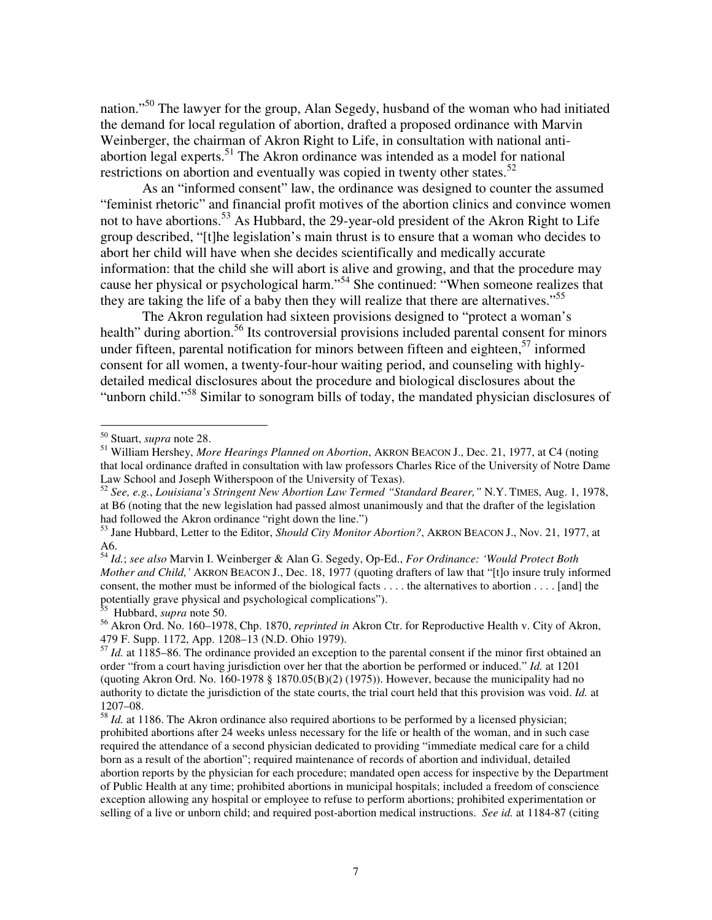nation."<sup>50</sup> The lawyer for the group, Alan Segedy, husband of the woman who had initiated the demand for local regulation of abortion, drafted a proposed ordinance with Marvin Weinberger, the chairman of Akron Right to Life, in consultation with national antiabortion legal experts.<sup>51</sup> The Akron ordinance was intended as a model for national restrictions on abortion and eventually was copied in twenty other states.<sup>52</sup>

As an "informed consent" law, the ordinance was designed to counter the assumed "feminist rhetoric" and financial profit motives of the abortion clinics and convince women not to have abortions.<sup>53</sup> As Hubbard, the 29-year-old president of the Akron Right to Life group described, "[t]he legislation's main thrust is to ensure that a woman who decides to abort her child will have when she decides scientifically and medically accurate information: that the child she will abort is alive and growing, and that the procedure may cause her physical or psychological harm."<sup>54</sup> She continued: "When someone realizes that they are taking the life of a baby then they will realize that there are alternatives."<sup>55</sup>

The Akron regulation had sixteen provisions designed to "protect a woman's health" during abortion.<sup>56</sup> Its controversial provisions included parental consent for minors under fifteen, parental notification for minors between fifteen and eighteen,<sup>57</sup> informed consent for all women, a twenty-four-hour waiting period, and counseling with highlydetailed medical disclosures about the procedure and biological disclosures about the "unborn child."<sup>58</sup> Similar to sonogram bills of today, the mandated physician disclosures of

<sup>50</sup> Stuart, *supra* note 28.

<sup>51</sup> William Hershey, *More Hearings Planned on Abortion*, AKRON BEACON J., Dec. 21, 1977, at C4 (noting that local ordinance drafted in consultation with law professors Charles Rice of the University of Notre Dame Law School and Joseph Witherspoon of the University of Texas).

<sup>52</sup> *See, e.g.*, *Louisiana's Stringent New Abortion Law Termed "Standard Bearer,"* N.Y. TIMES, Aug. 1, 1978, at B6 (noting that the new legislation had passed almost unanimously and that the drafter of the legislation had followed the Akron ordinance "right down the line.")

<sup>&</sup>lt;sup>53</sup> Jane Hubbard, Letter to the Editor, *Should City Monitor Abortion?*, AKRON BEACON J., Nov. 21, 1977, at A6.

<sup>54</sup> *Id.*; *see also* Marvin I. Weinberger & Alan G. Segedy, Op-Ed., *For Ordinance: 'Would Protect Both Mother and Child,'* AKRON BEACON J., Dec. 18, 1977 (quoting drafters of law that "[t]o insure truly informed consent, the mother must be informed of the biological facts . . . . the alternatives to abortion . . . . [and] the potentially grave physical and psychological complications").

<sup>55</sup> Hubbard, *supra* note 50.

<sup>56</sup> Akron Ord. No. 160–1978, Chp. 1870, *reprinted in* Akron Ctr. for Reproductive Health v. City of Akron, 479 F. Supp. 1172, App. 1208–13 (N.D. Ohio 1979).

<sup>&</sup>lt;sup>57</sup> *Id.* at 1185–86. The ordinance provided an exception to the parental consent if the minor first obtained an order "from a court having jurisdiction over her that the abortion be performed or induced." *Id.* at 1201 (quoting Akron Ord. No. 160-1978  $\S$  1870.05(B)(2) (1975)). However, because the municipality had no authority to dictate the jurisdiction of the state courts, the trial court held that this provision was void. *Id.* at 1207–08.

<sup>&</sup>lt;sup>58</sup> *Id.* at 1186. The Akron ordinance also required abortions to be performed by a licensed physician; prohibited abortions after 24 weeks unless necessary for the life or health of the woman, and in such case required the attendance of a second physician dedicated to providing "immediate medical care for a child born as a result of the abortion"; required maintenance of records of abortion and individual, detailed abortion reports by the physician for each procedure; mandated open access for inspective by the Department of Public Health at any time; prohibited abortions in municipal hospitals; included a freedom of conscience exception allowing any hospital or employee to refuse to perform abortions; prohibited experimentation or selling of a live or unborn child; and required post-abortion medical instructions. *See id.* at 1184-87 (citing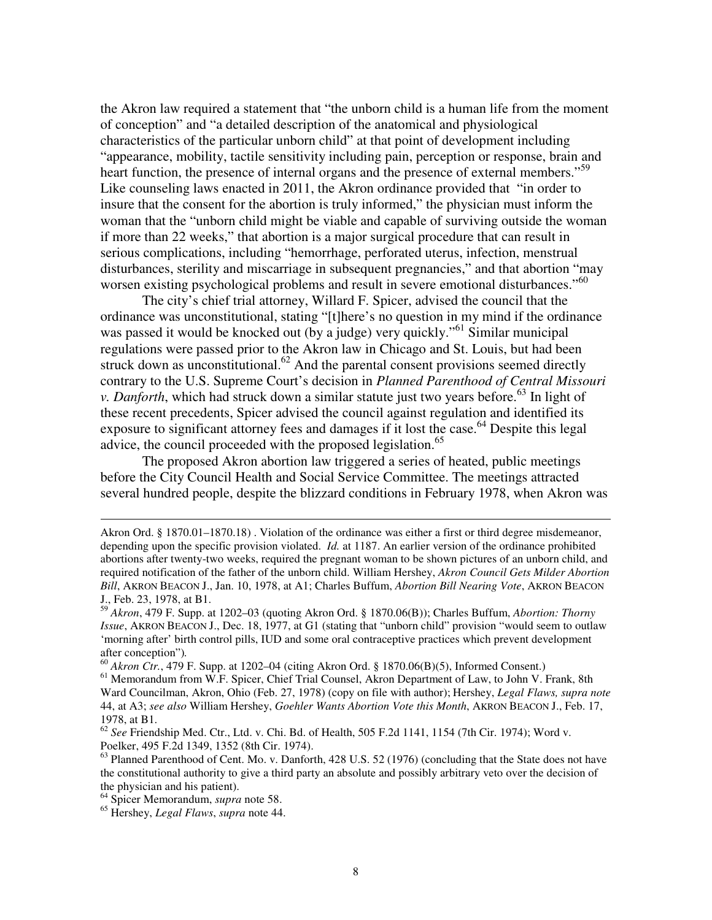the Akron law required a statement that "the unborn child is a human life from the moment of conception" and "a detailed description of the anatomical and physiological characteristics of the particular unborn child" at that point of development including "appearance, mobility, tactile sensitivity including pain, perception or response, brain and heart function, the presence of internal organs and the presence of external members."<sup>59</sup> Like counseling laws enacted in 2011, the Akron ordinance provided that "in order to insure that the consent for the abortion is truly informed," the physician must inform the woman that the "unborn child might be viable and capable of surviving outside the woman if more than 22 weeks," that abortion is a major surgical procedure that can result in serious complications, including "hemorrhage, perforated uterus, infection, menstrual disturbances, sterility and miscarriage in subsequent pregnancies," and that abortion "may worsen existing psychological problems and result in severe emotional disturbances."<sup>60</sup>

The city's chief trial attorney, Willard F. Spicer, advised the council that the ordinance was unconstitutional, stating "[t]here's no question in my mind if the ordinance was passed it would be knocked out (by a judge) very quickly."<sup>61</sup> Similar municipal regulations were passed prior to the Akron law in Chicago and St. Louis, but had been struck down as unconstitutional. $62$  And the parental consent provisions seemed directly contrary to the U.S. Supreme Court's decision in *Planned Parenthood of Central Missouri v. Danforth*, which had struck down a similar statute just two years before.<sup>63</sup> In light of these recent precedents, Spicer advised the council against regulation and identified its exposure to significant attorney fees and damages if it lost the case.<sup>64</sup> Despite this legal advice, the council proceeded with the proposed legislation.<sup>65</sup>

The proposed Akron abortion law triggered a series of heated, public meetings before the City Council Health and Social Service Committee. The meetings attracted several hundred people, despite the blizzard conditions in February 1978, when Akron was

<sup>60</sup> *Akron Ctr.*, 479 F. Supp. at 1202–04 (citing Akron Ord. § 1870.06(B)(5), Informed Consent.)

Akron Ord. § 1870.01–1870.18) . Violation of the ordinance was either a first or third degree misdemeanor, depending upon the specific provision violated. *Id.* at 1187. An earlier version of the ordinance prohibited abortions after twenty-two weeks, required the pregnant woman to be shown pictures of an unborn child, and required notification of the father of the unborn child. William Hershey, *Akron Council Gets Milder Abortion Bill*, AKRON BEACON J., Jan. 10, 1978, at A1; Charles Buffum, *Abortion Bill Nearing Vote*, AKRON BEACON J., Feb. 23, 1978, at B1.

<sup>59</sup> *Akron*, 479 F. Supp. at 1202–03 (quoting Akron Ord. § 1870.06(B)); Charles Buffum, *Abortion: Thorny Issue*, AKRON BEACON J., Dec. 18, 1977, at G1 (stating that "unborn child" provision "would seem to outlaw 'morning after' birth control pills, IUD and some oral contraceptive practices which prevent development after conception")*.* 

<sup>&</sup>lt;sup>61</sup> Memorandum from W.F. Spicer, Chief Trial Counsel, Akron Department of Law, to John V. Frank, 8th Ward Councilman, Akron, Ohio (Feb. 27, 1978) (copy on file with author); Hershey, *Legal Flaws, supra note* 44, at A3; *see also* William Hershey, *Goehler Wants Abortion Vote this Month*, AKRON BEACON J., Feb. 17, 1978, at B1.

<sup>62</sup> *See* Friendship Med. Ctr., Ltd. v. Chi. Bd. of Health, 505 F.2d 1141, 1154 (7th Cir. 1974); Word v. Poelker, 495 F.2d 1349, 1352 (8th Cir. 1974).

<sup>&</sup>lt;sup>63</sup> Planned Parenthood of Cent. Mo. v. Danforth, 428 U.S. 52 (1976) (concluding that the State does not have the constitutional authority to give a third party an absolute and possibly arbitrary veto over the decision of the physician and his patient).

<sup>64</sup> Spicer Memorandum, *supra* note 58.

<sup>65</sup> Hershey, *Legal Flaws*, *supra* note 44.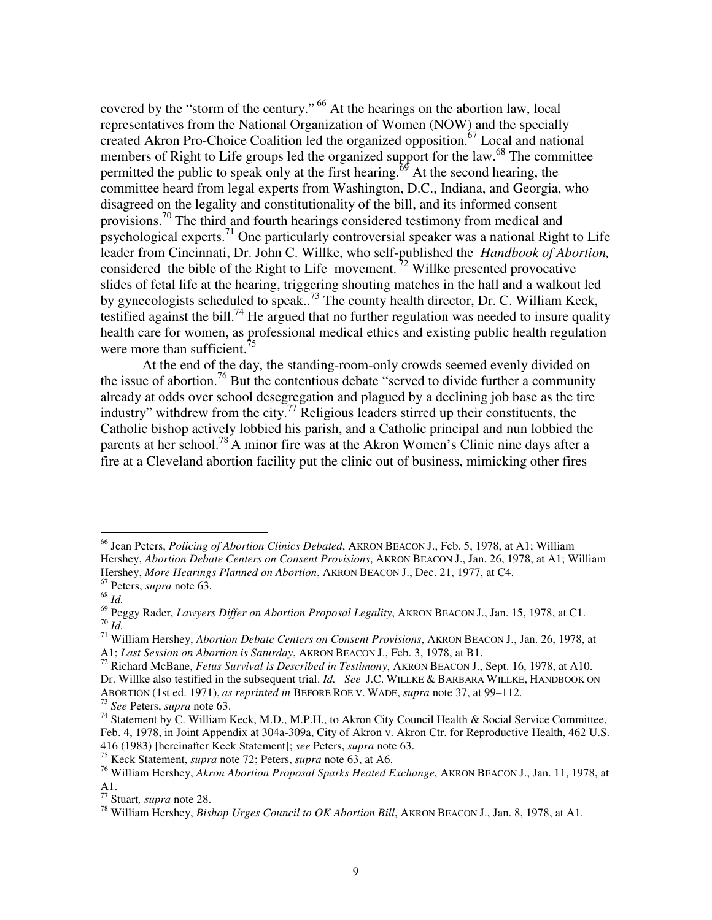covered by the "storm of the century."<sup>66</sup> At the hearings on the abortion law, local representatives from the National Organization of Women (NOW) and the specially created Akron Pro-Choice Coalition led the organized opposition.<sup>67</sup> Local and national members of Right to Life groups led the organized support for the law.<sup>68</sup> The committee permitted the public to speak only at the first hearing.<sup> $69$ </sup> At the second hearing, the committee heard from legal experts from Washington, D.C., Indiana, and Georgia, who disagreed on the legality and constitutionality of the bill, and its informed consent provisions.<sup>70</sup> The third and fourth hearings considered testimony from medical and psychological experts.<sup>71</sup> One particularly controversial speaker was a national Right to Life leader from Cincinnati, Dr. John C. Willke, who self-published the *Handbook of Abortion,* considered the bible of the Right to Life movement.<sup>72</sup> Willke presented provocative slides of fetal life at the hearing, triggering shouting matches in the hall and a walkout led by gynecologists scheduled to speak..<sup>73</sup> The county health director, Dr. C. William Keck, testified against the bill.<sup>74</sup> He argued that no further regulation was needed to insure quality health care for women, as professional medical ethics and existing public health regulation were more than sufficient.<sup>75</sup>

At the end of the day, the standing-room-only crowds seemed evenly divided on the issue of abortion.<sup>76</sup> But the contentious debate "served to divide further a community already at odds over school desegregation and plagued by a declining job base as the tire industry" withdrew from the city.<sup>77</sup> Religious leaders stirred up their constituents, the Catholic bishop actively lobbied his parish, and a Catholic principal and nun lobbied the parents at her school.<sup>78</sup> A minor fire was at the Akron Women's Clinic nine days after a fire at a Cleveland abortion facility put the clinic out of business, mimicking other fires

<sup>66</sup> Jean Peters, *Policing of Abortion Clinics Debated*, AKRON BEACON J., Feb. 5, 1978, at A1; William Hershey, *Abortion Debate Centers on Consent Provisions*, AKRON BEACON J., Jan. 26, 1978, at A1; William Hershey, *More Hearings Planned on Abortion*, AKRON BEACON J., Dec. 21, 1977, at C4.

<sup>67</sup> Peters, *supra* note 63.

<sup>68</sup> *Id.* 

<sup>69</sup> Peggy Rader, *Lawyers Differ on Abortion Proposal Legality*, AKRON BEACON J., Jan. 15, 1978, at C1. <sup>70</sup> *Id.* 

<sup>71</sup> William Hershey, *Abortion Debate Centers on Consent Provisions*, AKRON BEACON J., Jan. 26, 1978, at A1; *Last Session on Abortion is Saturday*, AKRON BEACON J., Feb. 3, 1978, at B1.

<sup>72</sup> Richard McBane, *Fetus Survival is Described in Testimony*, AKRON BEACON J., Sept. 16, 1978, at A10. Dr. Willke also testified in the subsequent trial. *Id. See* J.C. WILLKE & BARBARA WILLKE, HANDBOOK ON ABORTION (1st ed. 1971), *as reprinted in* BEFORE ROE V. WADE, *supra* note 37, at 99–112. <sup>73</sup> *See* Peters, *supra* note 63.

<sup>&</sup>lt;sup>74</sup> Statement by C. William Keck, M.D., M.P.H., to Akron City Council Health & Social Service Committee, Feb. 4, 1978, in Joint Appendix at 304a-309a, City of Akron v. Akron Ctr. for Reproductive Health, 462 U.S. 416 (1983) [hereinafter Keck Statement]; *see* Peters, *supra* note 63.

<sup>75</sup> Keck Statement, *supra* note 72; Peters, *supra* note 63, at A6.

<sup>76</sup> William Hershey, *Akron Abortion Proposal Sparks Heated Exchange*, AKRON BEACON J., Jan. 11, 1978, at A1.

<sup>77</sup> Stuart*, supra* note 28.

<sup>78</sup> William Hershey, *Bishop Urges Council to OK Abortion Bill*, AKRON BEACON J., Jan. 8, 1978, at A1.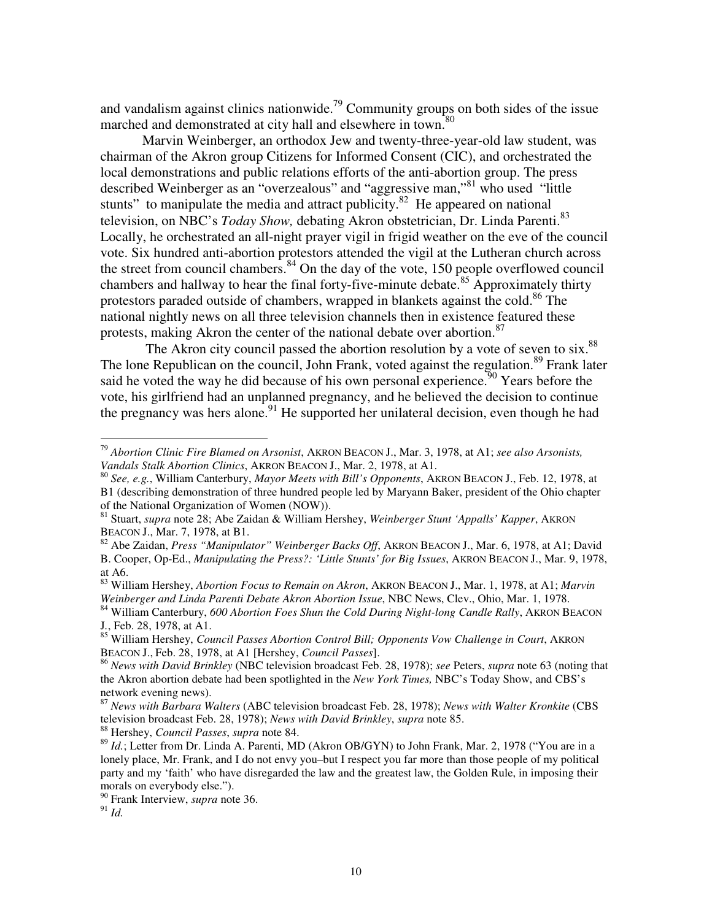and vandalism against clinics nationwide.<sup>79</sup> Community groups on both sides of the issue marched and demonstrated at city hall and elsewhere in town.<sup>80</sup>

Marvin Weinberger, an orthodox Jew and twenty-three-year-old law student, was chairman of the Akron group Citizens for Informed Consent (CIC), and orchestrated the local demonstrations and public relations efforts of the anti-abortion group. The press described Weinberger as an "overzealous" and "aggressive man,"<sup>81</sup> who used "little stunts" to manipulate the media and attract publicity.<sup>82</sup> He appeared on national television, on NBC's *Today Show*, debating Akron obstetrician, Dr. Linda Parenti.<sup>83</sup> Locally, he orchestrated an all-night prayer vigil in frigid weather on the eve of the council vote. Six hundred anti-abortion protestors attended the vigil at the Lutheran church across the street from council chambers. $84$  On the day of the vote, 150 people overflowed council chambers and hallway to hear the final forty-five-minute debate.<sup>85</sup> Approximately thirty protestors paraded outside of chambers, wrapped in blankets against the cold.<sup>86</sup> The national nightly news on all three television channels then in existence featured these protests, making Akron the center of the national debate over abortion.<sup>87</sup>

The Akron city council passed the abortion resolution by a vote of seven to six.<sup>88</sup> The lone Republican on the council, John Frank, voted against the regulation.<sup>89</sup> Frank later said he voted the way he did because of his own personal experience.  $90$  Years before the vote, his girlfriend had an unplanned pregnancy, and he believed the decision to continue the pregnancy was hers alone.<sup>91</sup> He supported her unilateral decision, even though he had

<sup>82</sup> Abe Zaidan, *Press "Manipulator" Weinberger Backs Off*, AKRON BEACON J., Mar. 6, 1978, at A1; David B. Cooper, Op-Ed., *Manipulating the Press?: 'Little Stunts' for Big Issues*, AKRON BEACON J., Mar. 9, 1978, at A6.

<sup>88</sup> Hershey, *Council Passes*, *supra* note 84.

<sup>79</sup> *Abortion Clinic Fire Blamed on Arsonist*, AKRON BEACON J., Mar. 3, 1978, at A1; *see also Arsonists, Vandals Stalk Abortion Clinics*, AKRON BEACON J., Mar. 2, 1978, at A1.

<sup>80</sup> *See, e.g.*, William Canterbury, *Mayor Meets with Bill's Opponents*, AKRON BEACON J., Feb. 12, 1978, at B1 (describing demonstration of three hundred people led by Maryann Baker, president of the Ohio chapter of the National Organization of Women (NOW)).

<sup>81</sup> Stuart, *supra* note 28; Abe Zaidan & William Hershey, *Weinberger Stunt 'Appalls' Kapper*, AKRON BEACON J., Mar. 7, 1978, at B1.

<sup>83</sup> William Hershey, *Abortion Focus to Remain on Akron*, AKRON BEACON J., Mar. 1, 1978, at A1; *Marvin Weinberger and Linda Parenti Debate Akron Abortion Issue*, NBC News, Clev., Ohio, Mar. 1, 1978.

<sup>&</sup>lt;sup>84</sup> William Canterbury, *600 Abortion Foes Shun the Cold During Night-long Candle Rally*, AKRON BEACON J*.*, Feb. 28, 1978, at A1.

<sup>85</sup> William Hershey, *Council Passes Abortion Control Bill; Opponents Vow Challenge in Court*, AKRON BEACON J., Feb. 28, 1978, at A1 [Hershey, *Council Passes*].

<sup>86</sup> *News with David Brinkley* (NBC television broadcast Feb. 28, 1978); *see* Peters, *supra* note 63 (noting that the Akron abortion debate had been spotlighted in the *New York Times,* NBC's Today Show, and CBS's network evening news).

<sup>87</sup> *News with Barbara Walters* (ABC television broadcast Feb. 28, 1978); *News with Walter Kronkite* (CBS television broadcast Feb. 28, 1978); *News with David Brinkley*, *supra* note 85.

<sup>&</sup>lt;sup>89</sup> *Id.*; Letter from Dr. Linda A. Parenti, MD (Akron OB/GYN) to John Frank, Mar. 2, 1978 ("You are in a lonely place, Mr. Frank, and I do not envy you–but I respect you far more than those people of my political party and my 'faith' who have disregarded the law and the greatest law, the Golden Rule, in imposing their morals on everybody else.").

<sup>90</sup> Frank Interview, *supra* note 36.

 $91$  *Id.*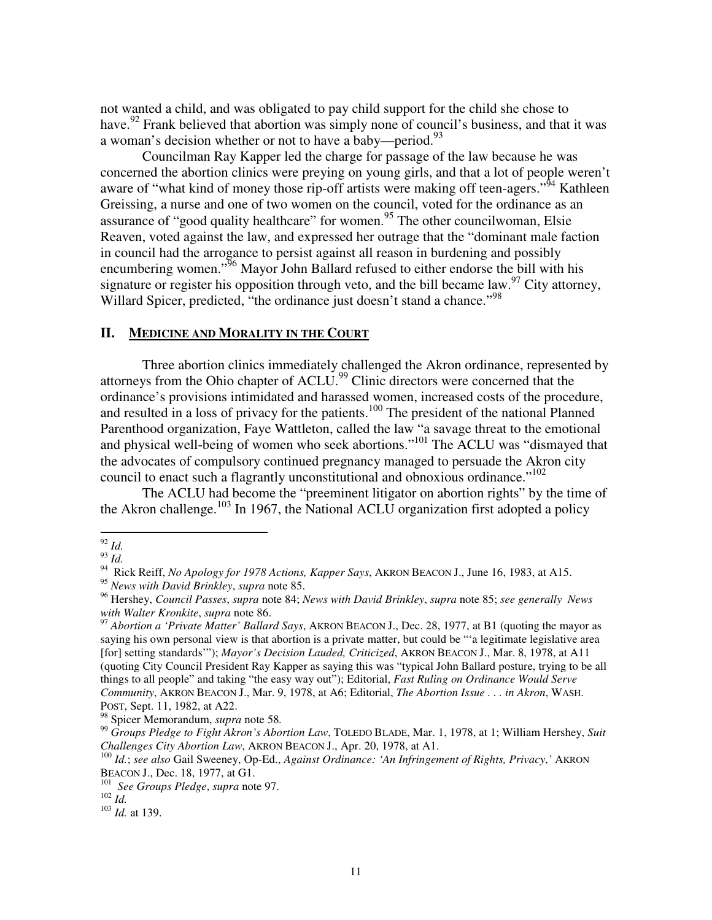not wanted a child, and was obligated to pay child support for the child she chose to have.<sup>92</sup> Frank believed that abortion was simply none of council's business, and that it was a woman's decision whether or not to have a baby—period.<sup>93</sup>

Councilman Ray Kapper led the charge for passage of the law because he was concerned the abortion clinics were preying on young girls, and that a lot of people weren't aware of "what kind of money those rip-off artists were making off teen-agers."<sup>94</sup> Kathleen Greissing, a nurse and one of two women on the council, voted for the ordinance as an assurance of "good quality healthcare" for women.<sup>95</sup> The other councilwoman, Elsie Reaven, voted against the law, and expressed her outrage that the "dominant male faction in council had the arrogance to persist against all reason in burdening and possibly encumbering women."<sup>96</sup> Mayor John Ballard refused to either endorse the bill with his signature or register his opposition through veto, and the bill became law.<sup>97</sup> City attorney, Willard Spicer, predicted, "the ordinance just doesn't stand a chance."<sup>98</sup>

#### **II. MEDICINE AND MORALITY IN THE COURT**

 Three abortion clinics immediately challenged the Akron ordinance, represented by attorneys from the Ohio chapter of ACLU.<sup>99</sup> Clinic directors were concerned that the ordinance's provisions intimidated and harassed women, increased costs of the procedure, and resulted in a loss of privacy for the patients.<sup>100</sup> The president of the national Planned Parenthood organization, Faye Wattleton, called the law "a savage threat to the emotional and physical well-being of women who seek abortions."<sup>101</sup> The ACLU was "dismayed that the advocates of compulsory continued pregnancy managed to persuade the Akron city council to enact such a flagrantly unconstitutional and obnoxious ordinance."<sup>102</sup>

 The ACLU had become the "preeminent litigator on abortion rights" by the time of the Akron challenge.<sup>103</sup> In 1967, the National ACLU organization first adopted a policy

<sup>92</sup> *Id.* 

<sup>93</sup> *Id.* 

<sup>94</sup> Rick Reiff, *No Apology for 1978 Actions, Kapper Says*, AKRON BEACON J., June 16, 1983, at A15.

<sup>95</sup> *News with David Brinkley*, *supra* note 85.

<sup>96</sup> Hershey, *Council Passes*, *supra* note 84; *News with David Brinkley*, *supra* note 85; *see generally News with Walter Kronkite*, *supra* note 86.

<sup>97</sup> *Abortion a 'Private Matter' Ballard Says*, AKRON BEACON J., Dec. 28, 1977, at B1 (quoting the mayor as saying his own personal view is that abortion is a private matter, but could be "'a legitimate legislative area [for] setting standards'"); *Mayor's Decision Lauded, Criticized*, AKRON BEACON J., Mar. 8, 1978, at A11 (quoting City Council President Ray Kapper as saying this was "typical John Ballard posture, trying to be all things to all people" and taking "the easy way out"); Editorial, *Fast Ruling on Ordinance Would Serve Community*, AKRON BEACON J., Mar. 9, 1978, at A6; Editorial, *The Abortion Issue . . . in Akron*, WASH. POST, Sept. 11, 1982, at A22.

<sup>98</sup> Spicer Memorandum, *supra* note 58*.* 

<sup>99</sup> *Groups Pledge to Fight Akron's Abortion Law*, TOLEDO BLADE, Mar. 1, 1978, at 1; William Hershey, *Suit Challenges City Abortion Law*, AKRON BEACON J., Apr. 20, 1978, at A1.

<sup>100</sup> *Id.*; *see also* Gail Sweeney, Op-Ed., *Against Ordinance: 'An Infringement of Rights, Privacy*,*'* AKRON BEACON J., Dec. 18, 1977, at G1.

<sup>101</sup> *See Groups Pledge*, *supra* note 97.

 $102$  *Id.* 

<sup>103</sup> *Id.* at 139.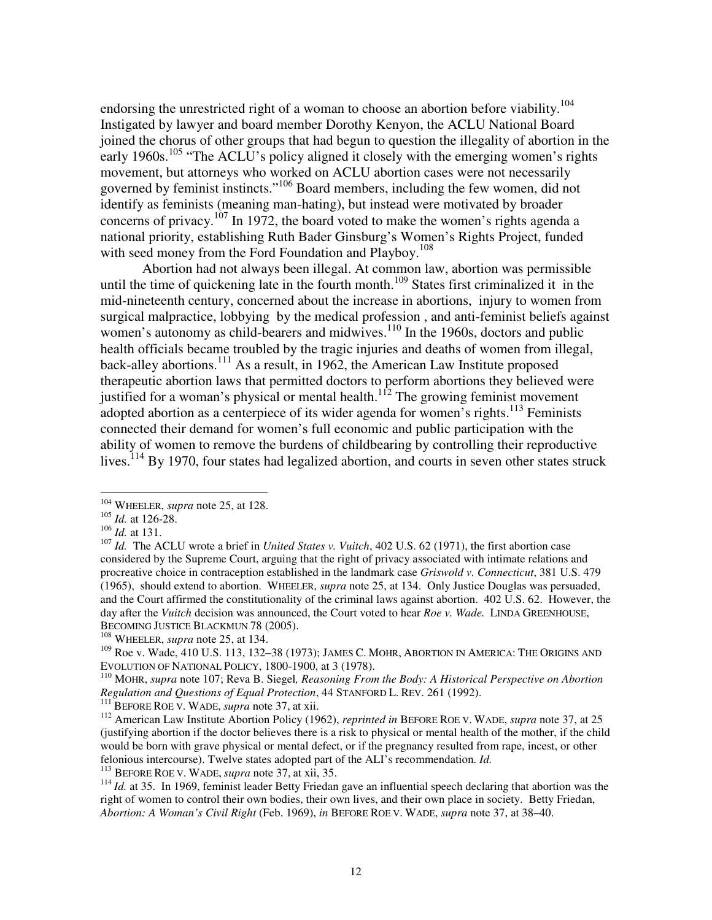endorsing the unrestricted right of a woman to choose an abortion before viability.<sup>104</sup> Instigated by lawyer and board member Dorothy Kenyon, the ACLU National Board joined the chorus of other groups that had begun to question the illegality of abortion in the early 1960s.<sup>105</sup> "The ACLU's policy aligned it closely with the emerging women's rights movement, but attorneys who worked on ACLU abortion cases were not necessarily governed by feminist instincts."<sup>106</sup> Board members, including the few women, did not identify as feminists (meaning man-hating), but instead were motivated by broader concerns of privacy.<sup>107</sup> In 1972, the board voted to make the women's rights agenda a national priority, establishing Ruth Bader Ginsburg's Women's Rights Project, funded with seed money from the Ford Foundation and Playboy.<sup>108</sup>

Abortion had not always been illegal. At common law, abortion was permissible until the time of quickening late in the fourth month.<sup>109</sup> States first criminalized it in the mid-nineteenth century, concerned about the increase in abortions, injury to women from surgical malpractice, lobbying by the medical profession , and anti-feminist beliefs against women's autonomy as child-bearers and midwives. $110$  In the 1960s, doctors and public health officials became troubled by the tragic injuries and deaths of women from illegal, back-alley abortions.<sup>111</sup> As a result, in 1962, the American Law Institute proposed therapeutic abortion laws that permitted doctors to perform abortions they believed were justified for a woman's physical or mental health.<sup>112</sup> The growing feminist movement adopted abortion as a centerpiece of its wider agenda for women's rights.<sup>113</sup> Feminists connected their demand for women's full economic and public participation with the ability of women to remove the burdens of childbearing by controlling their reproductive lives.<sup>114</sup> By 1970, four states had legalized abortion, and courts in seven other states struck

 $\overline{a}$ 

<sup>111</sup> BEFORE ROE V. WADE, *supra* note 37, at xii.

<sup>113</sup> BEFORE ROE V. WADE, *supra* note 37, at xii, 35.

<sup>&</sup>lt;sup>104</sup> WHEELER, *supra* note 25, at 128.

<sup>105</sup> *Id.* at 126-28.

<sup>106</sup> *Id.* at 131.

<sup>107</sup> *Id.* The ACLU wrote a brief in *United States v. Vuitch*, 402 U.S. 62 (1971), the first abortion case considered by the Supreme Court, arguing that the right of privacy associated with intimate relations and procreative choice in contraception established in the landmark case *Griswold v. Connecticut*, 381 U.S. 479 (1965),should extend to abortion. WHEELER, *supra* note 25, at 134. Only Justice Douglas was persuaded, and the Court affirmed the constitutionality of the criminal laws against abortion. 402 U.S. 62. However, the day after the *Vuitch* decision was announced, the Court voted to hear *Roe v. Wade.* LINDA GREENHOUSE, BECOMING JUSTICE BLACKMUN 78 (2005).

<sup>108</sup> WHEELER, *supra* note 25, at 134.

<sup>109</sup> Roe v. Wade, 410 U.S. 113, 132–38 (1973); JAMES C. MOHR, ABORTION IN AMERICA: THE ORIGINS AND EVOLUTION OF NATIONAL POLICY, 1800-1900, at 3 (1978).

<sup>110</sup> MOHR, *supra* note 107; Reva B. Siegel*, Reasoning From the Body: A Historical Perspective on Abortion Regulation and Questions of Equal Protection*, 44 STANFORD L. REV. 261 (1992).

<sup>112</sup> American Law Institute Abortion Policy (1962), *reprinted in* BEFORE ROE V. WADE, *supra* note 37, at 25 (justifying abortion if the doctor believes there is a risk to physical or mental health of the mother, if the child would be born with grave physical or mental defect, or if the pregnancy resulted from rape, incest, or other felonious intercourse). Twelve states adopted part of the ALI's recommendation. *Id.* 

<sup>&</sup>lt;sup>114</sup> *Id.* at 35. In 1969, feminist leader Betty Friedan gave an influential speech declaring that abortion was the right of women to control their own bodies, their own lives, and their own place in society. Betty Friedan, *Abortion: A Woman's Civil Right* (Feb. 1969), *in* BEFORE ROE V. WADE, *supra* note 37, at 38–40.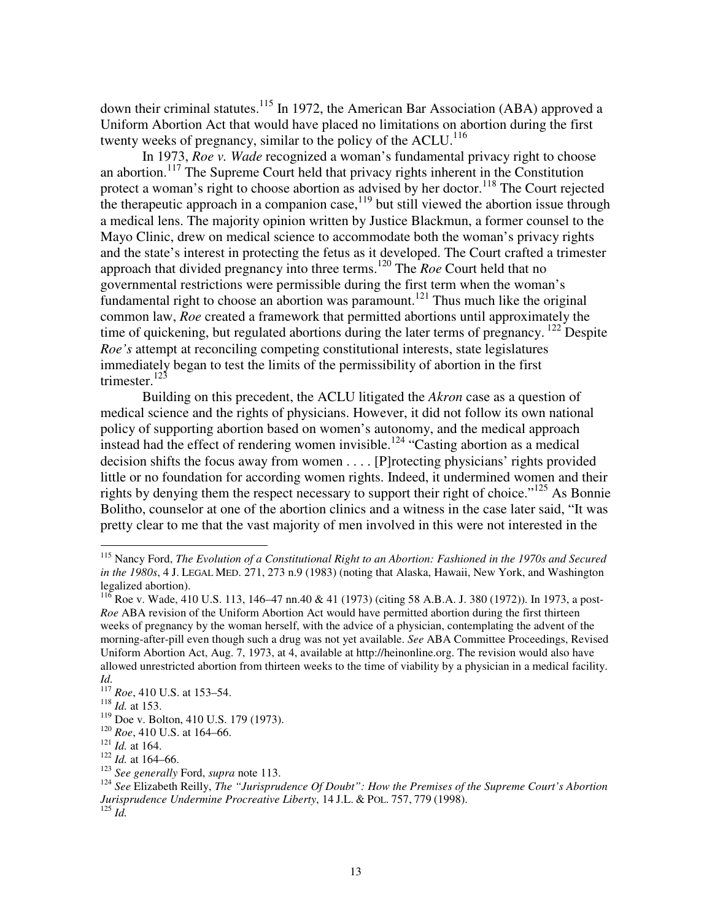down their criminal statutes.<sup>115</sup> In 1972, the American Bar Association (ABA) approved a Uniform Abortion Act that would have placed no limitations on abortion during the first twenty weeks of pregnancy, similar to the policy of the ACLU.<sup>116</sup>

In 1973, *Roe v. Wade* recognized a woman's fundamental privacy right to choose an abortion.<sup>117</sup> The Supreme Court held that privacy rights inherent in the Constitution protect a woman's right to choose abortion as advised by her doctor.<sup>118</sup> The Court rejected the therapeutic approach in a companion case,  $\frac{1}{19}$  but still viewed the abortion issue through a medical lens. The majority opinion written by Justice Blackmun, a former counsel to the Mayo Clinic, drew on medical science to accommodate both the woman's privacy rights and the state's interest in protecting the fetus as it developed. The Court crafted a trimester approach that divided pregnancy into three terms.<sup>120</sup> The *Roe* Court held that no governmental restrictions were permissible during the first term when the woman's fundamental right to choose an abortion was paramount.<sup>121</sup> Thus much like the original common law, *Roe* created a framework that permitted abortions until approximately the time of quickening, but regulated abortions during the later terms of pregnancy.<sup>122</sup> Despite *Roe's* attempt at reconciling competing constitutional interests, state legislatures immediately began to test the limits of the permissibility of abortion in the first trimester.<sup>123</sup>

Building on this precedent, the ACLU litigated the *Akron* case as a question of medical science and the rights of physicians. However, it did not follow its own national policy of supporting abortion based on women's autonomy, and the medical approach instead had the effect of rendering women invisible.<sup>124</sup> "Casting abortion as a medical decision shifts the focus away from women . . . . [P]rotecting physicians' rights provided little or no foundation for according women rights. Indeed, it undermined women and their rights by denying them the respect necessary to support their right of choice."<sup>125</sup> As Bonnie Bolitho, counselor at one of the abortion clinics and a witness in the case later said, "It was pretty clear to me that the vast majority of men involved in this were not interested in the

<sup>115</sup> Nancy Ford, *The Evolution of a Constitutional Right to an Abortion: Fashioned in the 1970s and Secured in the 1980s*, 4 J. LEGAL MED. 271, 273 n.9 (1983) (noting that Alaska, Hawaii, New York, and Washington legalized abortion).

 $^{116}$  Roe v. Wade, 410 U.S. 113, 146–47 nn.40 & 41 (1973) (citing 58 A.B.A. J. 380 (1972)). In 1973, a post-*Roe* ABA revision of the Uniform Abortion Act would have permitted abortion during the first thirteen weeks of pregnancy by the woman herself, with the advice of a physician, contemplating the advent of the morning-after-pill even though such a drug was not yet available. *See* ABA Committee Proceedings, Revised Uniform Abortion Act, Aug. 7, 1973, at 4, available at http://heinonline.org. The revision would also have allowed unrestricted abortion from thirteen weeks to the time of viability by a physician in a medical facility. *Id.* 

<sup>117</sup> *Roe*, 410 U.S. at 153–54.

<sup>118</sup> *Id.* at 153.

<sup>119</sup> Doe v. Bolton, 410 U.S. 179 (1973).

<sup>120</sup> *Roe*, 410 U.S. at 164–66.

<sup>121</sup> *Id.* at 164.

<sup>122</sup> *Id.* at 164–66.

<sup>123</sup> *See generally* Ford, *supra* note 113.

<sup>124</sup> *See* Elizabeth Reilly, *The "Jurisprudence Of Doubt": How the Premises of the Supreme Court's Abortion Jurisprudence Undermine Procreative Liberty*, 14 J.L. & POL. 757, 779 (1998).  $^{125}$  *Id.*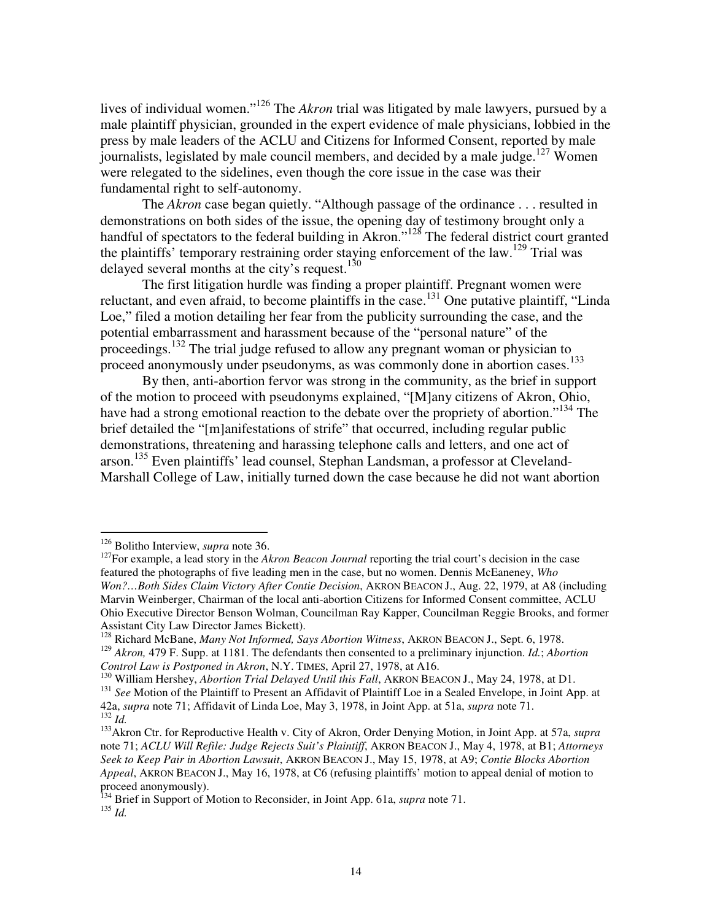lives of individual women."<sup>126</sup> The *Akron* trial was litigated by male lawyers, pursued by a male plaintiff physician, grounded in the expert evidence of male physicians, lobbied in the press by male leaders of the ACLU and Citizens for Informed Consent, reported by male journalists, legislated by male council members, and decided by a male judge.<sup>127</sup> Women were relegated to the sidelines, even though the core issue in the case was their fundamental right to self-autonomy.

 The *Akron* case began quietly. "Although passage of the ordinance . . . resulted in demonstrations on both sides of the issue, the opening day of testimony brought only a handful of spectators to the federal building in Akron.<sup>"128</sup> The federal district court granted the plaintiffs' temporary restraining order staying enforcement of the law.<sup>129</sup> Trial was delayed several months at the city's request. $130$ 

 The first litigation hurdle was finding a proper plaintiff. Pregnant women were reluctant, and even afraid, to become plaintiffs in the case.<sup>131</sup> One putative plaintiff, "Linda" Loe," filed a motion detailing her fear from the publicity surrounding the case, and the potential embarrassment and harassment because of the "personal nature" of the proceedings.<sup>132</sup> The trial judge refused to allow any pregnant woman or physician to proceed anonymously under pseudonyms, as was commonly done in abortion cases.<sup>133</sup>

By then, anti-abortion fervor was strong in the community, as the brief in support of the motion to proceed with pseudonyms explained, "[M]any citizens of Akron, Ohio, have had a strong emotional reaction to the debate over the propriety of abortion."<sup>134</sup> The brief detailed the "[m]anifestations of strife" that occurred, including regular public demonstrations, threatening and harassing telephone calls and letters, and one act of arson.<sup>135</sup> Even plaintiffs' lead counsel, Stephan Landsman, a professor at Cleveland-Marshall College of Law, initially turned down the case because he did not want abortion

<sup>126</sup> Bolitho Interview, *supra* note 36.

<sup>&</sup>lt;sup>127</sup>For example, a lead story in the *Akron Beacon Journal* reporting the trial court's decision in the case featured the photographs of five leading men in the case, but no women. Dennis McEaneney, *Who Won?…Both Sides Claim Victory After Contie Decision*, AKRON BEACON J., Aug. 22, 1979, at A8 (including Marvin Weinberger, Chairman of the local anti-abortion Citizens for Informed Consent committee, ACLU Ohio Executive Director Benson Wolman, Councilman Ray Kapper, Councilman Reggie Brooks, and former Assistant City Law Director James Bickett).

<sup>128</sup> Richard McBane, *Many Not Informed, Says Abortion Witness*, AKRON BEACON J., Sept. 6, 1978. <sup>129</sup> *Akron,* 479 F. Supp. at 1181. The defendants then consented to a preliminary injunction. *Id.*; *Abortion Control Law is Postponed in Akron*, N.Y. TIMES, April 27, 1978, at A16.

<sup>130</sup> William Hershey, *Abortion Trial Delayed Until this Fall*, AKRON BEACON J., May 24, 1978, at D1.

<sup>&</sup>lt;sup>131</sup> See Motion of the Plaintiff to Present an Affidavit of Plaintiff Loe in a Sealed Envelope, in Joint App. at 42a, *supra* note 71; Affidavit of Linda Loe, May 3, 1978, in Joint App. at 51a, *supra* note 71. <sup>132</sup> *Id.* 

<sup>133</sup>Akron Ctr. for Reproductive Health v. City of Akron, Order Denying Motion, in Joint App. at 57a, *supra* note 71; *ACLU Will Refile: Judge Rejects Suit's Plaintiff*, AKRON BEACON J., May 4, 1978, at B1; *Attorneys Seek to Keep Pair in Abortion Lawsuit*, AKRON BEACON J., May 15, 1978, at A9; *Contie Blocks Abortion Appeal*, AKRON BEACON J., May 16, 1978, at C6 (refusing plaintiffs' motion to appeal denial of motion to proceed anonymously).

<sup>&</sup>lt;sup>134</sup> Brief in Support of Motion to Reconsider, in Joint App. 61a, *supra* note 71. <sup>135</sup> *Id.*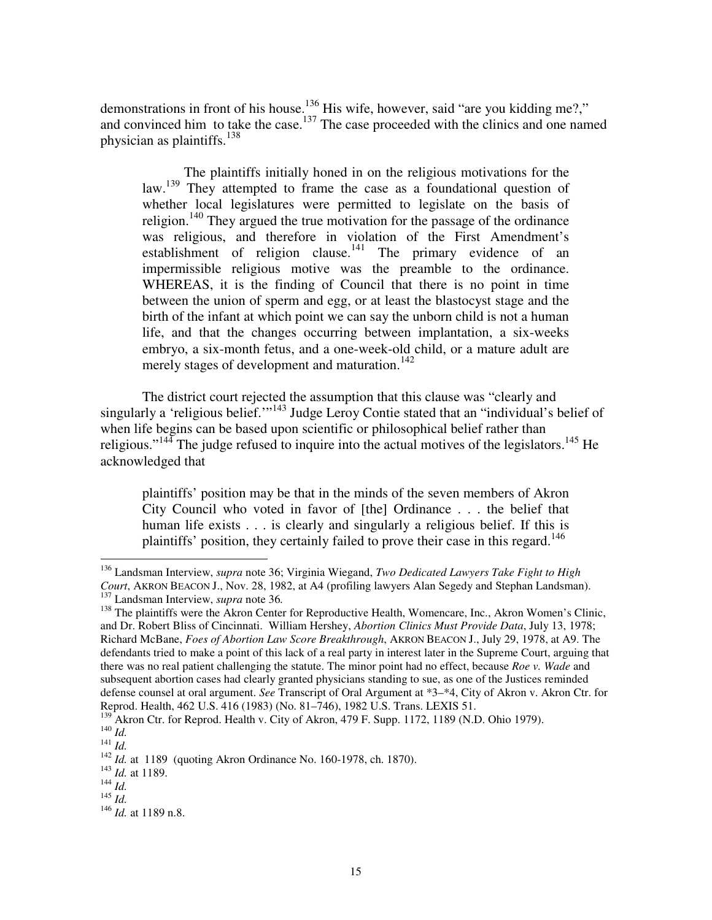demonstrations in front of his house.<sup>136</sup> His wife, however, said "are you kidding me?," and convinced him to take the case.<sup>137</sup> The case proceeded with the clinics and one named physician as plaintiffs.<sup>138</sup>

 The plaintiffs initially honed in on the religious motivations for the law.<sup>139</sup> They attempted to frame the case as a foundational question of whether local legislatures were permitted to legislate on the basis of religion.<sup>140</sup> They argued the true motivation for the passage of the ordinance was religious, and therefore in violation of the First Amendment's establishment of religion clause.<sup>141</sup> The primary evidence of an impermissible religious motive was the preamble to the ordinance. WHEREAS, it is the finding of Council that there is no point in time between the union of sperm and egg, or at least the blastocyst stage and the birth of the infant at which point we can say the unborn child is not a human life, and that the changes occurring between implantation, a six-weeks embryo, a six-month fetus, and a one-week-old child, or a mature adult are merely stages of development and maturation.<sup>142</sup>

The district court rejected the assumption that this clause was "clearly and singularly a 'religious belief."<sup>143</sup> Judge Leroy Contie stated that an "individual's belief of when life begins can be based upon scientific or philosophical belief rather than religious."<sup>144</sup> The judge refused to inquire into the actual motives of the legislators.<sup>145</sup> He acknowledged that

plaintiffs' position may be that in the minds of the seven members of Akron City Council who voted in favor of [the] Ordinance . . . the belief that human life exists . . . is clearly and singularly a religious belief. If this is plaintiffs' position, they certainly failed to prove their case in this regard.<sup>146</sup>

<sup>136</sup> Landsman Interview, *supra* note 36; Virginia Wiegand, *Two Dedicated Lawyers Take Fight to High Court*, AKRON BEACON J., Nov. 28, 1982, at A4 (profiling lawyers Alan Segedy and Stephan Landsman). <sup>137</sup> Landsman Interview, *supra* note 36*.* 

<sup>&</sup>lt;sup>138</sup> The plaintiffs were the Akron Center for Reproductive Health, Womencare, Inc., Akron Women's Clinic, and Dr. Robert Bliss of Cincinnati. William Hershey, *Abortion Clinics Must Provide Data*, July 13, 1978; Richard McBane, *Foes of Abortion Law Score Breakthrough*, AKRON BEACON J., July 29, 1978, at A9. The defendants tried to make a point of this lack of a real party in interest later in the Supreme Court, arguing that there was no real patient challenging the statute. The minor point had no effect, because *Roe v. Wade* and subsequent abortion cases had clearly granted physicians standing to sue, as one of the Justices reminded defense counsel at oral argument. *See* Transcript of Oral Argument at \*3–\*4, City of Akron v. Akron Ctr. for Reprod. Health, 462 U.S. 416 (1983) (No. 81–746), 1982 U.S. Trans. LEXIS 51.

<sup>&</sup>lt;sup>139</sup> Akron Ctr. for Reprod. Health v. City of Akron, 479 F. Supp. 1172, 1189 (N.D. Ohio 1979).

<sup>140</sup> *Id.*  <sup>141</sup> *Id.* 

<sup>142</sup> *Id.* at 1189 (quoting Akron Ordinance No. 160-1978, ch. 1870).

<sup>143</sup> *Id.* at 1189.

 $^{144}$  *Id.* 

 $145$   $\frac{1}{4}$ .

<sup>146</sup> *Id.* at 1189 n.8.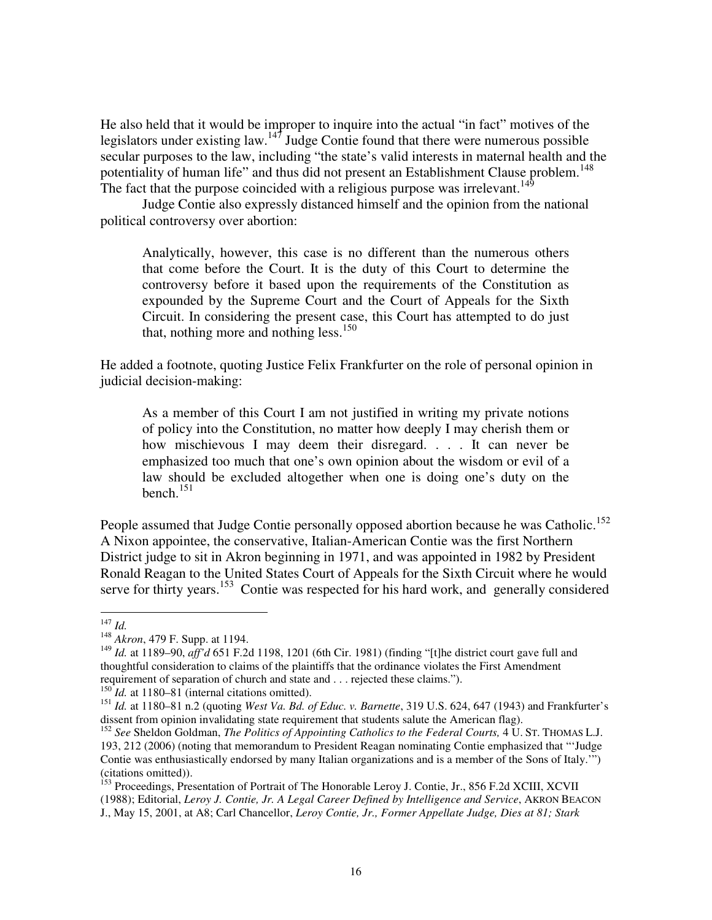He also held that it would be improper to inquire into the actual "in fact" motives of the legislators under existing law.<sup>147</sup> Judge Contie found that there were numerous possible secular purposes to the law, including "the state's valid interests in maternal health and the potentiality of human life" and thus did not present an Establishment Clause problem.<sup>148</sup> The fact that the purpose coincided with a religious purpose was irrelevant.<sup>149</sup>

Judge Contie also expressly distanced himself and the opinion from the national political controversy over abortion:

Analytically, however, this case is no different than the numerous others that come before the Court. It is the duty of this Court to determine the controversy before it based upon the requirements of the Constitution as expounded by the Supreme Court and the Court of Appeals for the Sixth Circuit. In considering the present case, this Court has attempted to do just that, nothing more and nothing less.<sup>150</sup>

He added a footnote, quoting Justice Felix Frankfurter on the role of personal opinion in judicial decision-making:

As a member of this Court I am not justified in writing my private notions of policy into the Constitution, no matter how deeply I may cherish them or how mischievous I may deem their disregard. . . . It can never be emphasized too much that one's own opinion about the wisdom or evil of a law should be excluded altogether when one is doing one's duty on the bench. $151$ 

People assumed that Judge Contie personally opposed abortion because he was Catholic.<sup>152</sup> A Nixon appointee, the conservative, Italian-American Contie was the first Northern District judge to sit in Akron beginning in 1971, and was appointed in 1982 by President Ronald Reagan to the United States Court of Appeals for the Sixth Circuit where he would serve for thirty years.<sup>153</sup> Contie was respected for his hard work, and generally considered

<sup>147</sup> *Id.*

<sup>148</sup> *Akron*, 479 F. Supp. at 1194.

<sup>149</sup> *Id.* at 1189–90, *aff'd* 651 F.2d 1198, 1201 (6th Cir. 1981) (finding "[t]he district court gave full and thoughtful consideration to claims of the plaintiffs that the ordinance violates the First Amendment requirement of separation of church and state and . . . rejected these claims.").

 $^{150}$ *Id.* at 1180–81 (internal citations omitted).

<sup>151</sup> *Id.* at 1180–81 n.2 (quoting *West Va. Bd. of Educ. v. Barnette*, 319 U.S. 624, 647 (1943) and Frankfurter's dissent from opinion invalidating state requirement that students salute the American flag).

<sup>152</sup> *See* Sheldon Goldman, *The Politics of Appointing Catholics to the Federal Courts,* 4 U. ST. THOMAS L.J. 193, 212 (2006) (noting that memorandum to President Reagan nominating Contie emphasized that "'Judge Contie was enthusiastically endorsed by many Italian organizations and is a member of the Sons of Italy.'") (citations omitted)).

<sup>&</sup>lt;sup>153</sup> Proceedings, Presentation of Portrait of The Honorable Leroy J. Contie, Jr., 856 F.2d XCIII, XCVII (1988); Editorial, *Leroy J. Contie, Jr. A Legal Career Defined by Intelligence and Service*, AKRON BEACON J., May 15, 2001, at A8; Carl Chancellor, *Leroy Contie, Jr., Former Appellate Judge, Dies at 81; Stark*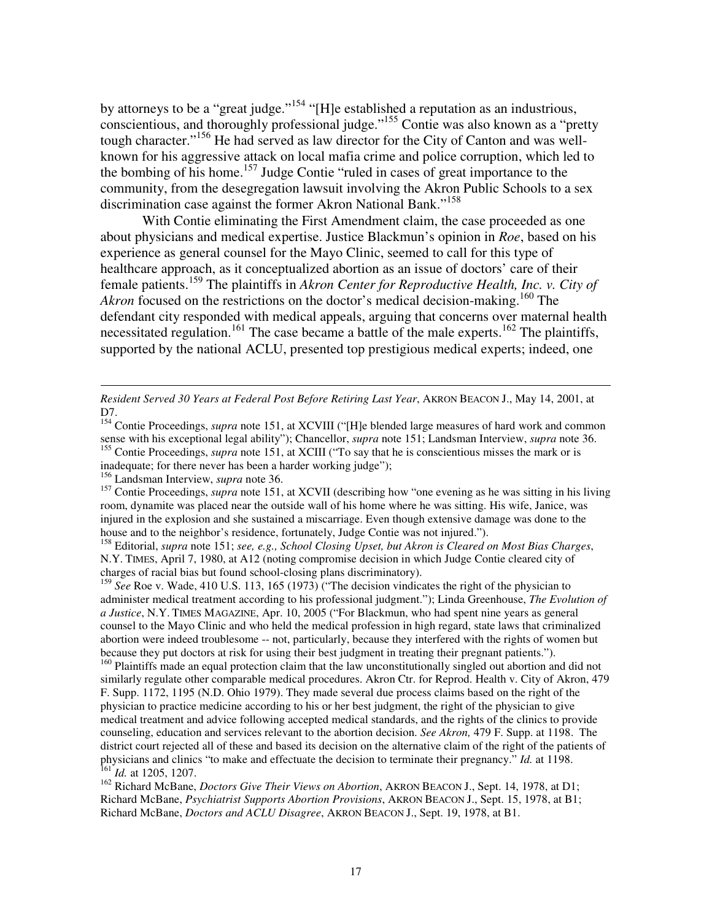by attorneys to be a "great judge."<sup>154</sup> "[H]e established a reputation as an industrious, conscientious, and thoroughly professional judge."<sup>155</sup> Contie was also known as a "pretty tough character."<sup>156</sup> He had served as law director for the City of Canton and was wellknown for his aggressive attack on local mafia crime and police corruption, which led to the bombing of his home.<sup>157</sup> Judge Contie "ruled in cases of great importance to the community, from the desegregation lawsuit involving the Akron Public Schools to a sex discrimination case against the former Akron National Bank."<sup>158</sup>

With Contie eliminating the First Amendment claim, the case proceeded as one about physicians and medical expertise. Justice Blackmun's opinion in *Roe*, based on his experience as general counsel for the Mayo Clinic, seemed to call for this type of healthcare approach, as it conceptualized abortion as an issue of doctors' care of their female patients.<sup>159</sup> The plaintiffs in *Akron Center for Reproductive Health, Inc. v. City of Akron* focused on the restrictions on the doctor's medical decision-making.<sup>160</sup> The defendant city responded with medical appeals, arguing that concerns over maternal health necessitated regulation.<sup>161</sup> The case became a battle of the male experts.<sup>162</sup> The plaintiffs, supported by the national ACLU, presented top prestigious medical experts; indeed, one

*Resident Served 30 Years at Federal Post Before Retiring Last Year*, AKRON BEACON J., May 14, 2001, at D7.

<sup>155</sup> Contie Proceedings, *supra* note 151, at XCIII ("To say that he is conscientious misses the mark or is inadequate; for there never has been a harder working judge");

<sup>156</sup> Landsman Interview, *supra* note 36.

 $\overline{a}$ 

<sup>157</sup> Contie Proceedings, *supra* note 151, at XCVII (describing how "one evening as he was sitting in his living room, dynamite was placed near the outside wall of his home where he was sitting. His wife, Janice, was injured in the explosion and she sustained a miscarriage. Even though extensive damage was done to the house and to the neighbor's residence, fortunately, Judge Contie was not injured.").

<sup>158</sup> Editorial, *supra* note 151; *see, e.g., School Closing Upset, but Akron is Cleared on Most Bias Charges*, N.Y. TIMES, April 7, 1980, at A12 (noting compromise decision in which Judge Contie cleared city of charges of racial bias but found school-closing plans discriminatory).

<sup>159</sup> See Roe v. Wade, 410 U.S. 113, 165 (1973) ("The decision vindicates the right of the physician to administer medical treatment according to his professional judgment."); Linda Greenhouse, *The Evolution of a Justice*, N.Y. TIMES MAGAZINE, Apr. 10, 2005 ("For Blackmun, who had spent nine years as general counsel to the Mayo Clinic and who held the medical profession in high regard, state laws that criminalized abortion were indeed troublesome -- not, particularly, because they interfered with the rights of women but because they put doctors at risk for using their best judgment in treating their pregnant patients."). <sup>160</sup> Plaintiffs made an equal protection claim that the law unconstitutionally singled out abortion and did not similarly regulate other comparable medical procedures. Akron Ctr. for Reprod. Health v. City of Akron, 479 F. Supp. 1172, 1195 (N.D. Ohio 1979). They made several due process claims based on the right of the physician to practice medicine according to his or her best judgment, the right of the physician to give medical treatment and advice following accepted medical standards, and the rights of the clinics to provide counseling, education and services relevant to the abortion decision. *See Akron,* 479 F. Supp. at 1198. The district court rejected all of these and based its decision on the alternative claim of the right of the patients of physicians and clinics "to make and effectuate the decision to terminate their pregnancy." *Id.* at 1198. <sup>161</sup> *Id.* at 1205, 1207.

<sup>162</sup> Richard McBane, *Doctors Give Their Views on Abortion*, AKRON BEACON J., Sept. 14, 1978, at D1; Richard McBane, *Psychiatrist Supports Abortion Provisions*, AKRON BEACON J., Sept. 15, 1978, at B1; Richard McBane, *Doctors and ACLU Disagree*, AKRON BEACON J., Sept. 19, 1978, at B1.

<sup>&</sup>lt;sup>154</sup> Contie Proceedings, *supra* note 151, at XCVIII ("[H]e blended large measures of hard work and common sense with his exceptional legal ability"); Chancellor, *supra* note 151; Landsman Interview, *supra* note 36.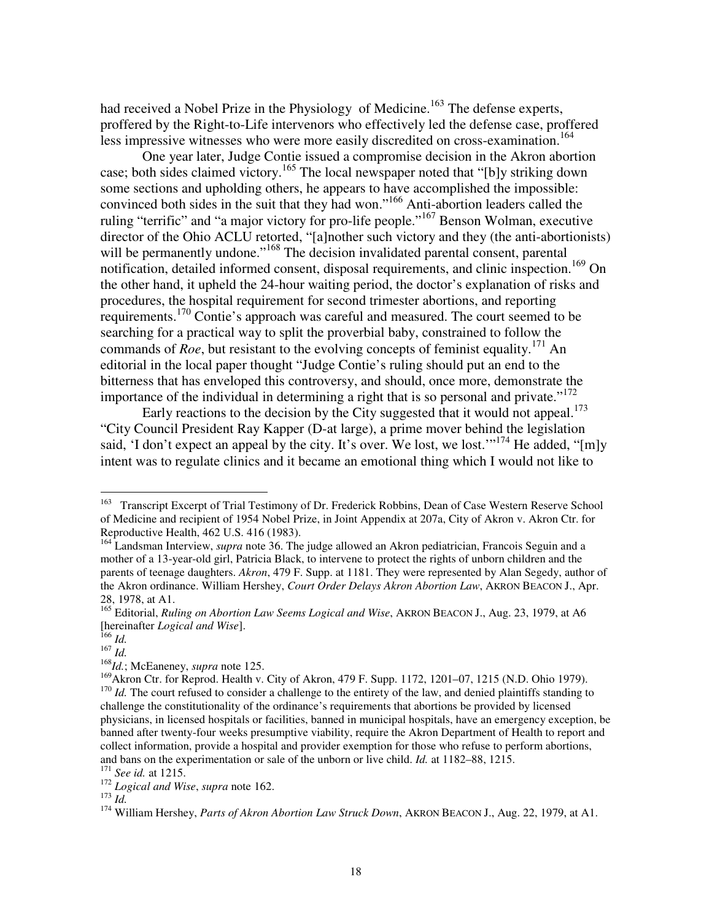had received a Nobel Prize in the Physiology of Medicine.<sup>163</sup> The defense experts, proffered by the Right-to-Life intervenors who effectively led the defense case, proffered less impressive witnesses who were more easily discredited on cross-examination.<sup>164</sup>

One year later, Judge Contie issued a compromise decision in the Akron abortion case; both sides claimed victory.<sup>165</sup> The local newspaper noted that "[b]y striking down some sections and upholding others, he appears to have accomplished the impossible: convinced both sides in the suit that they had won."<sup>166</sup> Anti-abortion leaders called the ruling "terrific" and "a major victory for pro-life people."<sup>167</sup> Benson Wolman, executive director of the Ohio ACLU retorted, "[a]nother such victory and they (the anti-abortionists) will be permanently undone."<sup>168</sup> The decision invalidated parental consent, parental notification, detailed informed consent, disposal requirements, and clinic inspection.<sup>169</sup> On the other hand, it upheld the 24-hour waiting period, the doctor's explanation of risks and procedures, the hospital requirement for second trimester abortions, and reporting requirements.<sup>170</sup> Contie's approach was careful and measured. The court seemed to be searching for a practical way to split the proverbial baby, constrained to follow the commands of *Roe*, but resistant to the evolving concepts of feminist equality.<sup>171</sup> An editorial in the local paper thought "Judge Contie's ruling should put an end to the bitterness that has enveloped this controversy, and should, once more, demonstrate the importance of the individual in determining a right that is so personal and private."<sup>172</sup>

Early reactions to the decision by the City suggested that it would not appeal.<sup>173</sup> "City Council President Ray Kapper (D-at large), a prime mover behind the legislation said, 'I don't expect an appeal by the city. It's over. We lost, we lost.'<sup>174</sup> He added, "[m]y intent was to regulate clinics and it became an emotional thing which I would not like to

<sup>&</sup>lt;sup>163</sup> Transcript Excerpt of Trial Testimony of Dr. Frederick Robbins, Dean of Case Western Reserve School of Medicine and recipient of 1954 Nobel Prize, in Joint Appendix at 207a, City of Akron v. Akron Ctr. for Reproductive Health, 462 U.S. 416 (1983).

<sup>164</sup> Landsman Interview, *supra* note 36. The judge allowed an Akron pediatrician, Francois Seguin and a mother of a 13-year-old girl, Patricia Black, to intervene to protect the rights of unborn children and the parents of teenage daughters. *Akron*, 479 F. Supp. at 1181. They were represented by Alan Segedy, author of the Akron ordinance. William Hershey, *Court Order Delays Akron Abortion Law*, AKRON BEACON J., Apr. 28, 1978, at A1.

<sup>165</sup> Editorial, *Ruling on Abortion Law Seems Logical and Wise*, AKRON BEACON J., Aug. 23, 1979, at A6 [hereinafter *Logical and Wise*].

<sup>166</sup> *Id.* 

<sup>167</sup> *Id.* 

<sup>168</sup>*Id.*; McEaneney, *supra* note 125.

<sup>&</sup>lt;sup>169</sup>Akron Ctr. for Reprod. Health v. City of Akron, 479 F. Supp. 1172, 1201–07, 1215 (N.D. Ohio 1979). <sup>170</sup> *Id.* The court refused to consider a challenge to the entirety of the law, and denied plaintiffs standing to challenge the constitutionality of the ordinance's requirements that abortions be provided by licensed physicians, in licensed hospitals or facilities, banned in municipal hospitals, have an emergency exception, be banned after twenty-four weeks presumptive viability, require the Akron Department of Health to report and collect information, provide a hospital and provider exemption for those who refuse to perform abortions, and bans on the experimentation or sale of the unborn or live child. *Id.* at 1182–88, 1215.

<sup>171</sup> *See id.* at 1215.

<sup>172</sup> *Logical and Wise*, *supra* note 162.

<sup>173</sup> *Id.*

<sup>174</sup> William Hershey, *Parts of Akron Abortion Law Struck Down*, AKRON BEACON J., Aug. 22, 1979, at A1.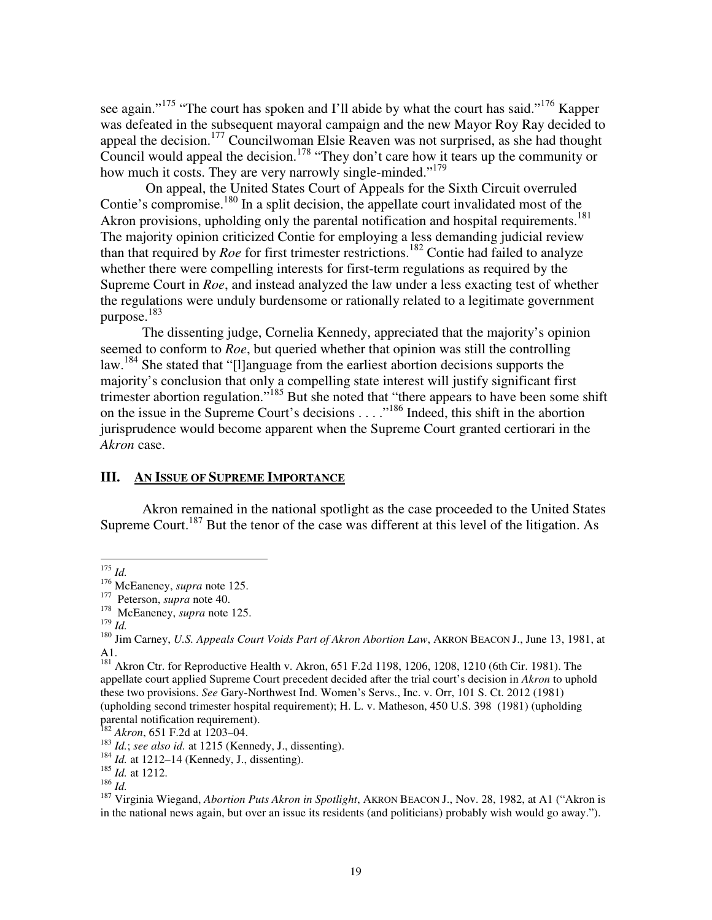see again."<sup>175</sup> "The court has spoken and I'll abide by what the court has said."<sup>176</sup> Kapper was defeated in the subsequent mayoral campaign and the new Mayor Roy Ray decided to appeal the decision.<sup>177</sup> Councilwoman Elsie Reaven was not surprised, as she had thought Council would appeal the decision.<sup>178</sup> "They don't care how it tears up the community or how much it costs. They are very narrowly single-minded."<sup>179</sup>

 On appeal, the United States Court of Appeals for the Sixth Circuit overruled Contie's compromise.<sup>180</sup> In a split decision, the appellate court invalidated most of the Akron provisions, upholding only the parental notification and hospital requirements.<sup>181</sup> The majority opinion criticized Contie for employing a less demanding judicial review than that required by *Roe* for first trimester restrictions.<sup>182</sup> Contie had failed to analyze whether there were compelling interests for first-term regulations as required by the Supreme Court in *Roe*, and instead analyzed the law under a less exacting test of whether the regulations were unduly burdensome or rationally related to a legitimate government purpose. 183

The dissenting judge, Cornelia Kennedy, appreciated that the majority's opinion seemed to conform to *Roe*, but queried whether that opinion was still the controlling law.<sup>184</sup> She stated that "[l]anguage from the earliest abortion decisions supports the majority's conclusion that only a compelling state interest will justify significant first trimester abortion regulation."<sup>185</sup> But she noted that "there appears to have been some shift on the issue in the Supreme Court's decisions . . . ."<sup>186</sup> Indeed, this shift in the abortion jurisprudence would become apparent when the Supreme Court granted certiorari in the *Akron* case.

# **III. AN ISSUE OF SUPREME IMPORTANCE**

Akron remained in the national spotlight as the case proceeded to the United States Supreme Court.<sup>187</sup> But the tenor of the case was different at this level of the litigation. As

<sup>175</sup> *Id.*

<sup>176</sup> McEaneney, *supra* note 125.

<sup>177</sup> Peterson, *supra* note 40.

<sup>&</sup>lt;sup>178</sup> McEaneney, *supra* note 125.

<sup>179</sup> *Id.*

<sup>180</sup> Jim Carney, *U.S. Appeals Court Voids Part of Akron Abortion Law*, AKRON BEACON J., June 13, 1981, at A1.

<sup>&</sup>lt;sup>181</sup> Akron Ctr. for Reproductive Health v. Akron, 651 F.2d 1198, 1206, 1208, 1210 (6th Cir. 1981). The appellate court applied Supreme Court precedent decided after the trial court's decision in *Akron* to uphold these two provisions. *See* Gary-Northwest Ind. Women's Servs., Inc. v. Orr, 101 S. Ct. 2012 (1981) (upholding second trimester hospital requirement); H. L. v. Matheson, 450 U.S. 398 (1981) (upholding parental notification requirement).

<sup>182</sup> *Akron*, 651 F.2d at 1203–04.

<sup>183</sup> *Id.*; *see also id.* at 1215 (Kennedy, J., dissenting).

<sup>&</sup>lt;sup>184</sup> *Id.* at 1212–14 (Kennedy, J., dissenting).

<sup>185</sup> *Id.* at 1212.

 $186 \frac{1}{1}$ 

<sup>187</sup> Virginia Wiegand, *Abortion Puts Akron in Spotlight*, AKRON BEACON J., Nov. 28, 1982, at A1 ("Akron is in the national news again, but over an issue its residents (and politicians) probably wish would go away.").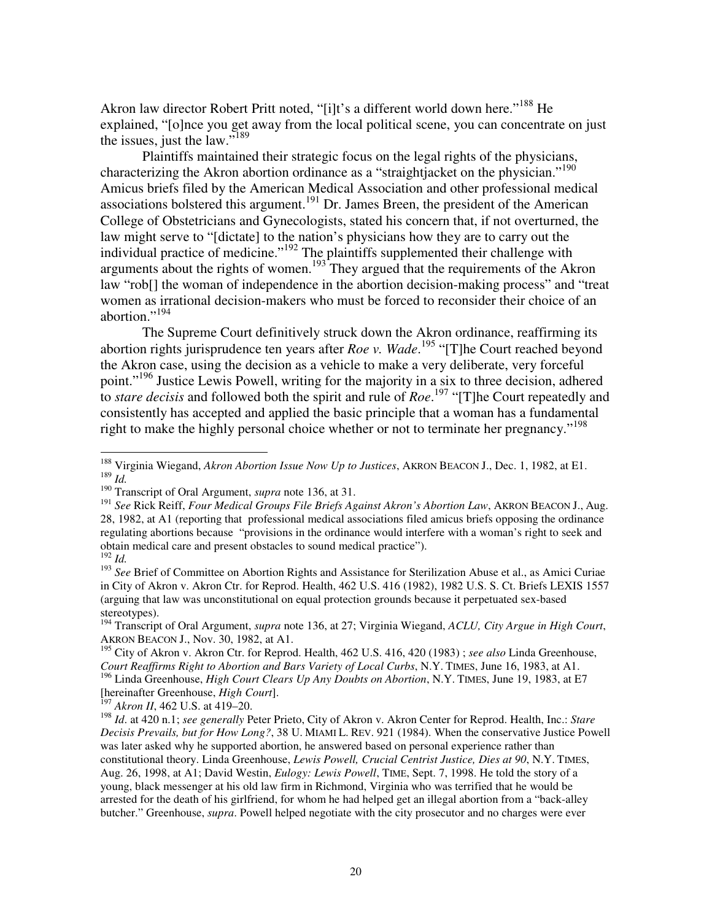Akron law director Robert Pritt noted, "[i]t's a different world down here."<sup>188</sup> He explained, "[o]nce you get away from the local political scene, you can concentrate on just the issues, just the law."<sup>189</sup>

Plaintiffs maintained their strategic focus on the legal rights of the physicians, characterizing the Akron abortion ordinance as a "straightjacket on the physician."<sup>190</sup> Amicus briefs filed by the American Medical Association and other professional medical associations bolstered this argument.<sup>191</sup> Dr. James Breen, the president of the American College of Obstetricians and Gynecologists, stated his concern that, if not overturned, the law might serve to "[dictate] to the nation's physicians how they are to carry out the individual practice of medicine."<sup>192</sup> The plaintiffs supplemented their challenge with arguments about the rights of women.<sup>193</sup> They argued that the requirements of the Akron law "rob[] the woman of independence in the abortion decision-making process" and "treat women as irrational decision-makers who must be forced to reconsider their choice of an abortion."<sup>194</sup>

 The Supreme Court definitively struck down the Akron ordinance, reaffirming its abortion rights jurisprudence ten years after *Roe v. Wade*. <sup>195</sup> "[T]he Court reached beyond the Akron case, using the decision as a vehicle to make a very deliberate, very forceful point."<sup>196</sup> Justice Lewis Powell, writing for the majority in a six to three decision, adhered to *stare decisis* and followed both the spirit and rule of *Roe*. <sup>197</sup> "[T]he Court repeatedly and consistently has accepted and applied the basic principle that a woman has a fundamental right to make the highly personal choice whether or not to terminate her pregnancy."<sup>198</sup>

<sup>193</sup> See Brief of Committee on Abortion Rights and Assistance for Sterilization Abuse et al., as Amici Curiae in City of Akron v. Akron Ctr. for Reprod. Health, 462 U.S. 416 (1982), 1982 U.S. S. Ct. Briefs LEXIS 1557 (arguing that law was unconstitutional on equal protection grounds because it perpetuated sex-based stereotypes).

[hereinafter Greenhouse, *High Court*].

<sup>197</sup> *Akron II*, 462 U.S. at 419–20.

<sup>188</sup> Virginia Wiegand, *Akron Abortion Issue Now Up to Justices*, AKRON BEACON J., Dec. 1, 1982, at E1. <sup>189</sup> *Id.* 

<sup>190</sup> Transcript of Oral Argument, *supra* note 136, at 31.

<sup>&</sup>lt;sup>191</sup> See Rick Reiff, *Four Medical Groups File Briefs Against Akron's Abortion Law*, AKRON BEACON J., Aug. 28, 1982, at A1 (reporting that professional medical associations filed amicus briefs opposing the ordinance regulating abortions because "provisions in the ordinance would interfere with a woman's right to seek and obtain medical care and present obstacles to sound medical practice"). <sup>192</sup> *Id.*

<sup>194</sup> Transcript of Oral Argument, *supra* note 136, at 27; Virginia Wiegand, *ACLU, City Argue in High Court*, AKRON BEACON J., Nov. 30, 1982, at A1.

<sup>195</sup> City of Akron v. Akron Ctr. for Reprod. Health, 462 U.S. 416, 420 (1983) ; *see also* Linda Greenhouse, *Court Reaffirms Right to Abortion and Bars Variety of Local Curbs*, N.Y. TIMES, June 16, 1983, at A1. <sup>196</sup> Linda Greenhouse, *High Court Clears Up Any Doubts on Abortion*, N.Y. TIMES, June 19, 1983, at E7

<sup>198</sup> *Id*. at 420 n.1; *see generally* Peter Prieto, City of Akron v. Akron Center for Reprod. Health, Inc.: *Stare Decisis Prevails, but for How Long?*, 38 U. MIAMI L. REV. 921 (1984). When the conservative Justice Powell was later asked why he supported abortion, he answered based on personal experience rather than constitutional theory. Linda Greenhouse, *Lewis Powell, Crucial Centrist Justice, Dies at 90*, N.Y. TIMES, Aug. 26, 1998, at A1; David Westin, *Eulogy: Lewis Powell*, TIME, Sept. 7, 1998. He told the story of a young, black messenger at his old law firm in Richmond, Virginia who was terrified that he would be arrested for the death of his girlfriend, for whom he had helped get an illegal abortion from a "back-alley butcher." Greenhouse, *supra*. Powell helped negotiate with the city prosecutor and no charges were ever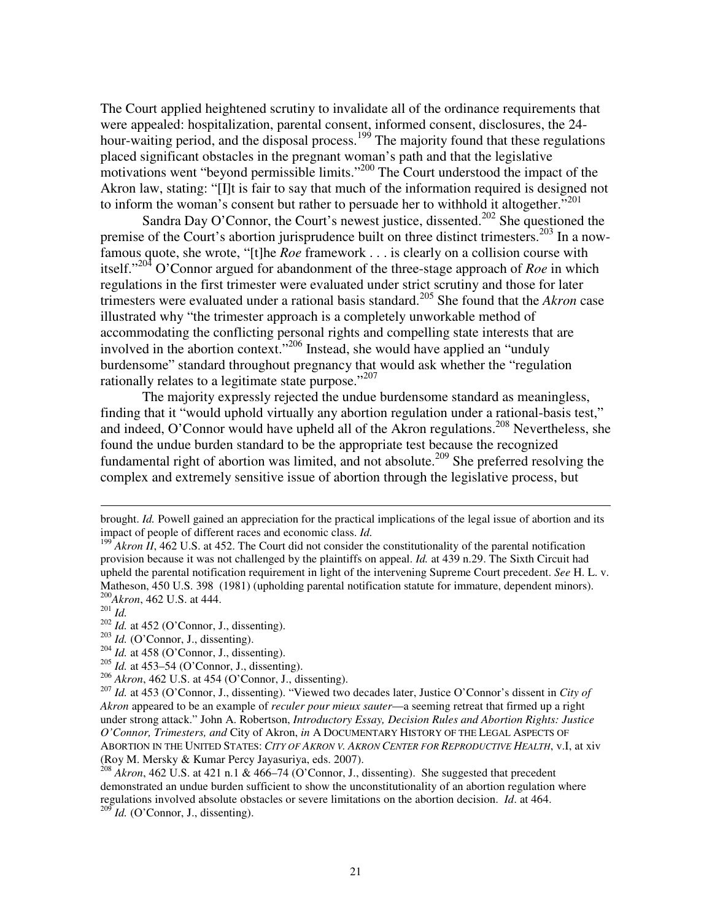The Court applied heightened scrutiny to invalidate all of the ordinance requirements that were appealed: hospitalization, parental consent, informed consent, disclosures, the 24 hour-waiting period, and the disposal process.<sup>199</sup> The majority found that these regulations placed significant obstacles in the pregnant woman's path and that the legislative motivations went "beyond permissible limits."<sup>200</sup> The Court understood the impact of the Akron law, stating: "[I]t is fair to say that much of the information required is designed not to inform the woman's consent but rather to persuade her to withhold it altogether."<sup>201</sup>

Sandra Day O'Connor, the Court's newest justice, dissented.<sup>202</sup> She questioned the premise of the Court's abortion jurisprudence built on three distinct trimesters.<sup>203</sup> In a nowfamous quote, she wrote, "[t]he *Roe* framework . . . is clearly on a collision course with itself."<sup>204</sup> O'Connor argued for abandonment of the three-stage approach of *Roe* in which regulations in the first trimester were evaluated under strict scrutiny and those for later trimesters were evaluated under a rational basis standard.<sup>205</sup> She found that the *Akron* case illustrated why "the trimester approach is a completely unworkable method of accommodating the conflicting personal rights and compelling state interests that are involved in the abortion context."<sup>206</sup> Instead, she would have applied an "unduly burdensome" standard throughout pregnancy that would ask whether the "regulation rationally relates to a legitimate state purpose."<sup>207</sup>

The majority expressly rejected the undue burdensome standard as meaningless, finding that it "would uphold virtually any abortion regulation under a rational-basis test," and indeed, O'Connor would have upheld all of the Akron regulations.<sup>208</sup> Nevertheless, she found the undue burden standard to be the appropriate test because the recognized fundamental right of abortion was limited, and not absolute.<sup>209</sup> She preferred resolving the complex and extremely sensitive issue of abortion through the legislative process, but

brought. *Id.* Powell gained an appreciation for the practical implications of the legal issue of abortion and its impact of people of different races and economic class. *Id.*

 $199$ <sup> $199$ </sup>*Akron II*, 462 U.S. at 452. The Court did not consider the constitutionality of the parental notification provision because it was not challenged by the plaintiffs on appeal. *Id.* at 439 n.29. The Sixth Circuit had upheld the parental notification requirement in light of the intervening Supreme Court precedent. *See* H. L. v. Matheson, 450 U.S. 398 (1981) (upholding parental notification statute for immature, dependent minors). <sup>200</sup>*Akron*, 462 U.S. at 444.

 $^{201}$ *Id.* 

<sup>&</sup>lt;sup>202</sup> *Id.* at 452 (O'Connor, J., dissenting).

<sup>&</sup>lt;sup>203</sup> *Id.* (O'Connor, J., dissenting).

 $204$  *Id.* at 458 (O'Connor, J., dissenting).

<sup>205</sup> *Id.* at 453–54 (O'Connor, J., dissenting).

<sup>206</sup> *Akron*, 462 U.S. at 454 (O'Connor, J., dissenting).

<sup>207</sup> *Id.* at 453 (O'Connor, J., dissenting). "Viewed two decades later, Justice O'Connor's dissent in *City of Akron* appeared to be an example of *reculer pour mieux sauter*—a seeming retreat that firmed up a right under strong attack." John A. Robertson, *Introductory Essay, Decision Rules and Abortion Rights: Justice O'Connor, Trimesters, and* City of Akron, *in* A DOCUMENTARY HISTORY OF THE LEGAL ASPECTS OF ABORTION IN THE UNITED STATES: *CITY OF AKRON V. AKRON CENTER FOR REPRODUCTIVE HEALTH*, v.I, at xiv (Roy M. Mersky & Kumar Percy Jayasuriya, eds. 2007).

 $^{208}$  *Akron*, 462 U.S. at 421 n.1 & 466–74 (O'Connor, J., dissenting). She suggested that precedent demonstrated an undue burden sufficient to show the unconstitutionality of an abortion regulation where regulations involved absolute obstacles or severe limitations on the abortion decision. *Id*. at 464. <sup>209</sup> *Id.* (O'Connor, J., dissenting).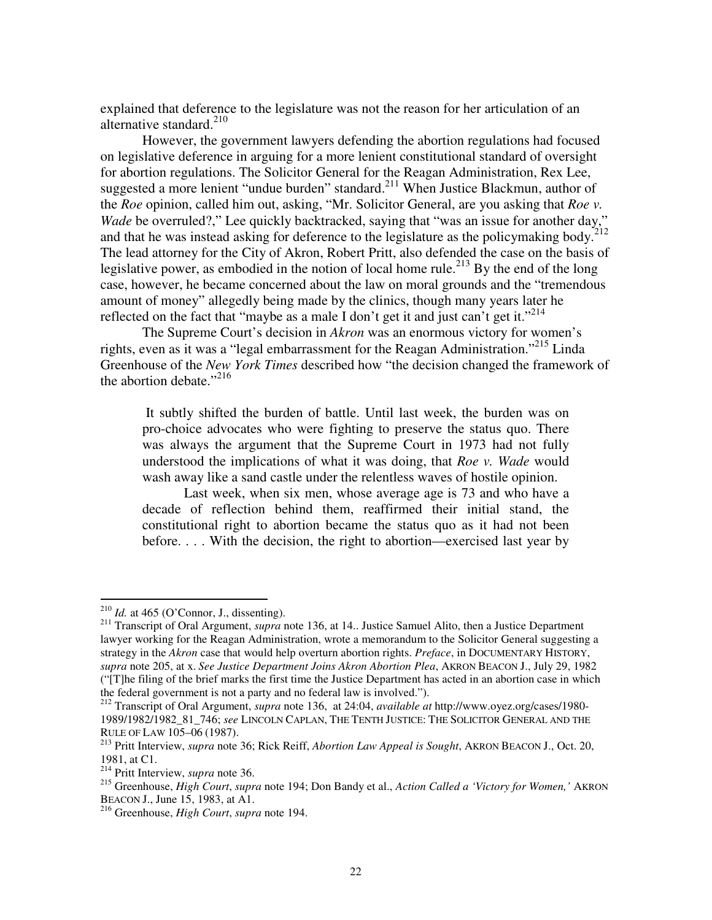explained that deference to the legislature was not the reason for her articulation of an alternative standard.<sup>210</sup>

 However, the government lawyers defending the abortion regulations had focused on legislative deference in arguing for a more lenient constitutional standard of oversight for abortion regulations. The Solicitor General for the Reagan Administration, Rex Lee, suggested a more lenient "undue burden" standard.<sup>211</sup> When Justice Blackmun, author of the *Roe* opinion, called him out, asking, "Mr. Solicitor General, are you asking that *Roe v. Wade* be overruled?," Lee quickly backtracked, saying that "was an issue for another day," and that he was instead asking for deference to the legislature as the policymaking body.<sup>2</sup> The lead attorney for the City of Akron, Robert Pritt, also defended the case on the basis of legislative power, as embodied in the notion of local home rule.<sup>213</sup> By the end of the long case, however, he became concerned about the law on moral grounds and the "tremendous amount of money" allegedly being made by the clinics, though many years later he reflected on the fact that "maybe as a male I don't get it and just can't get it."<sup>214</sup>

The Supreme Court's decision in *Akron* was an enormous victory for women's rights, even as it was a "legal embarrassment for the Reagan Administration."<sup>215</sup> Linda Greenhouse of the *New York Times* described how "the decision changed the framework of the abortion debate." $^{216}$ 

 It subtly shifted the burden of battle. Until last week, the burden was on pro-choice advocates who were fighting to preserve the status quo. There was always the argument that the Supreme Court in 1973 had not fully understood the implications of what it was doing, that *Roe v. Wade* would wash away like a sand castle under the relentless waves of hostile opinion.

Last week, when six men, whose average age is 73 and who have a decade of reflection behind them, reaffirmed their initial stand, the constitutional right to abortion became the status quo as it had not been before. . . . With the decision, the right to abortion—exercised last year by

 $^{210}$  *Id.* at 465 (O'Connor, J., dissenting).

<sup>&</sup>lt;sup>211</sup> Transcript of Oral Argument, *supra* note 136, at 14.. Justice Samuel Alito, then a Justice Department lawyer working for the Reagan Administration, wrote a memorandum to the Solicitor General suggesting a strategy in the *Akron* case that would help overturn abortion rights. *Preface*, in DOCUMENTARY HISTORY, *supra* note 205, at x. *See Justice Department Joins Akron Abortion Plea*, AKRON BEACON J., July 29, 1982 ("[T]he filing of the brief marks the first time the Justice Department has acted in an abortion case in which the federal government is not a party and no federal law is involved.").

<sup>212</sup> Transcript of Oral Argument, *supra* note 136, at 24:04, *available at* http://www.oyez.org/cases/1980- 1989/1982/1982\_81\_746; *see* LINCOLN CAPLAN, THE TENTH JUSTICE: THE SOLICITOR GENERAL AND THE RULE OF LAW 105–06 (1987).

<sup>213</sup> Pritt Interview, *supra* note 36; Rick Reiff, *Abortion Law Appeal is Sought*, AKRON BEACON J., Oct. 20, 1981, at C1.

<sup>214</sup> Pritt Interview, *supra* note 36.

<sup>215</sup> Greenhouse, *High Court*, *supra* note 194; Don Bandy et al., *Action Called a 'Victory for Women,'* AKRON BEACON J., June 15, 1983, at A1.

<sup>216</sup> Greenhouse, *High Court*, *supra* note 194.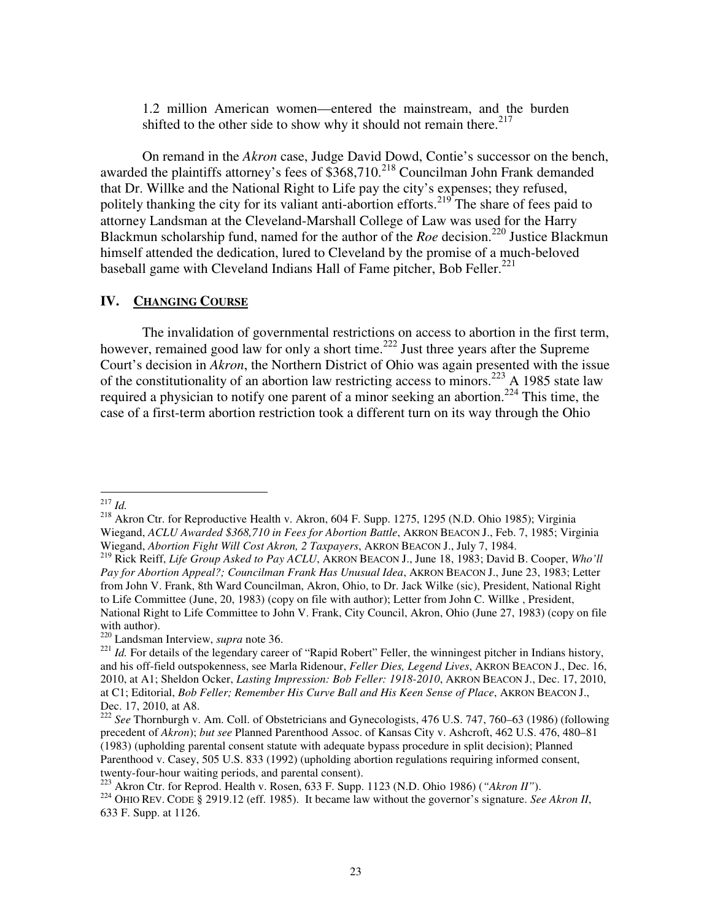1.2 million American women—entered the mainstream, and the burden shifted to the other side to show why it should not remain there.<sup>217</sup>

On remand in the *Akron* case, Judge David Dowd, Contie's successor on the bench, awarded the plaintiffs attorney's fees of  $$368,710.<sup>218</sup>$  Councilman John Frank demanded that Dr. Willke and the National Right to Life pay the city's expenses; they refused, politely thanking the city for its valiant anti-abortion efforts.<sup>219</sup> The share of fees paid to attorney Landsman at the Cleveland-Marshall College of Law was used for the Harry Blackmun scholarship fund, named for the author of the *Roe* decision.<sup>220</sup> Justice Blackmun himself attended the dedication, lured to Cleveland by the promise of a much-beloved baseball game with Cleveland Indians Hall of Fame pitcher, Bob Feller.<sup>221</sup>

#### **IV. CHANGING COURSE**

The invalidation of governmental restrictions on access to abortion in the first term, however, remained good law for only a short time.<sup>222</sup> Just three years after the Supreme Court's decision in *Akron*, the Northern District of Ohio was again presented with the issue of the constitutionality of an abortion law restricting access to minors.<sup>223</sup> A 1985 state law required a physician to notify one parent of a minor seeking an abortion.<sup>224</sup> This time, the case of a first-term abortion restriction took a different turn on its way through the Ohio

 $\overline{a}$ <sup>217</sup> *Id.* 

<sup>218</sup> Akron Ctr. for Reproductive Health v. Akron, 604 F. Supp. 1275, 1295 (N.D. Ohio 1985); Virginia Wiegand, *ACLU Awarded \$368,710 in Fees for Abortion Battle*, AKRON BEACON J., Feb. 7, 1985; Virginia Wiegand, *Abortion Fight Will Cost Akron, 2 Taxpayers*, AKRON BEACON J., July 7, 1984.

<sup>219</sup> Rick Reiff, *Life Group Asked to Pay ACLU*, AKRON BEACON J., June 18, 1983; David B. Cooper, *Who'll Pay for Abortion Appeal?; Councilman Frank Has Unusual Idea*, AKRON BEACON J., June 23, 1983; Letter from John V. Frank, 8th Ward Councilman, Akron, Ohio, to Dr. Jack Wilke (sic), President, National Right to Life Committee (June, 20, 1983) (copy on file with author); Letter from John C. Willke , President, National Right to Life Committee to John V. Frank, City Council, Akron, Ohio (June 27, 1983) (copy on file with author).

<sup>220</sup> Landsman Interview, *supra* note 36.

<sup>&</sup>lt;sup>221</sup> *Id.* For details of the legendary career of "Rapid Robert" Feller, the winningest pitcher in Indians history, and his off-field outspokenness, see Marla Ridenour, *Feller Dies, Legend Lives*, AKRON BEACON J., Dec. 16, 2010, at A1; Sheldon Ocker, *Lasting Impression: Bob Feller: 1918-2010*, AKRON BEACON J., Dec. 17, 2010, at C1; Editorial, *Bob Feller; Remember His Curve Ball and His Keen Sense of Place*, AKRON BEACON J., Dec. 17, 2010, at A8.

<sup>222</sup> *See* Thornburgh v. Am. Coll. of Obstetricians and Gynecologists, 476 U.S. 747, 760–63 (1986) (following precedent of *Akron*); *but see* Planned Parenthood Assoc. of Kansas City v. Ashcroft, 462 U.S. 476, 480–81 (1983) (upholding parental consent statute with adequate bypass procedure in split decision); Planned Parenthood v. Casey, 505 U.S. 833 (1992) (upholding abortion regulations requiring informed consent, twenty-four-hour waiting periods, and parental consent).

<sup>223</sup> Akron Ctr. for Reprod. Health v. Rosen, 633 F. Supp. 1123 (N.D. Ohio 1986) (*"Akron II"*).

<sup>224</sup> OHIO REV. CODE § 2919.12 (eff. 1985). It became law without the governor's signature. *See Akron II*, 633 F. Supp. at 1126.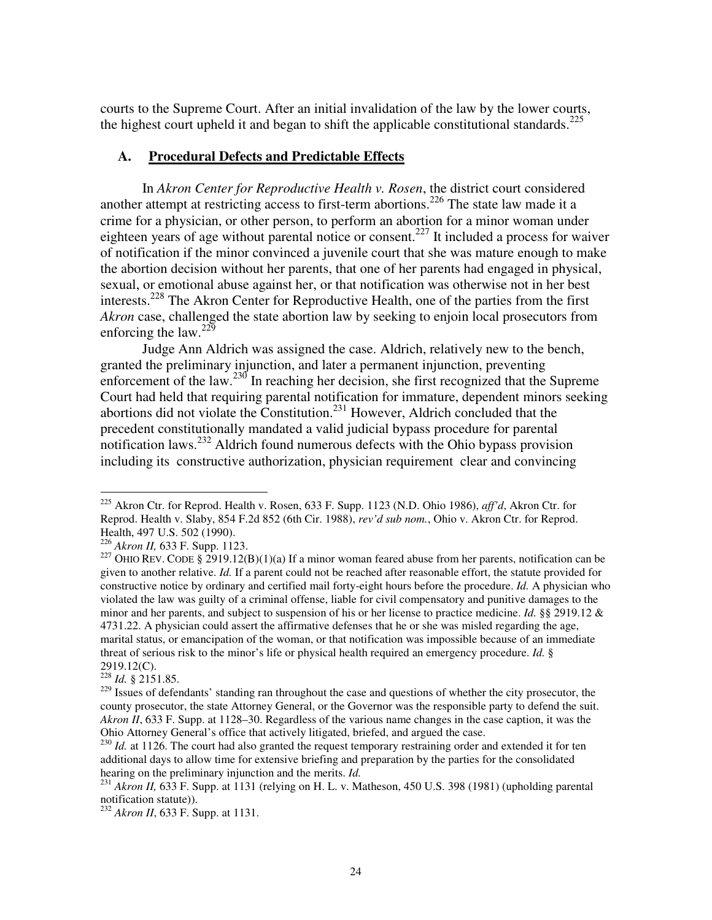courts to the Supreme Court. After an initial invalidation of the law by the lower courts, the highest court upheld it and began to shift the applicable constitutional standards.<sup>225</sup>

### **A. Procedural Defects and Predictable Effects**

In *Akron Center for Reproductive Health v. Rosen*, the district court considered another attempt at restricting access to first-term abortions.<sup>226</sup> The state law made it a crime for a physician, or other person, to perform an abortion for a minor woman under eighteen years of age without parental notice or consent.<sup>227</sup> It included a process for waiver of notification if the minor convinced a juvenile court that she was mature enough to make the abortion decision without her parents, that one of her parents had engaged in physical, sexual, or emotional abuse against her, or that notification was otherwise not in her best interests.<sup>228</sup> The Akron Center for Reproductive Health, one of the parties from the first *Akron* case, challenged the state abortion law by seeking to enjoin local prosecutors from enforcing the law. $^{229}$ 

 Judge Ann Aldrich was assigned the case. Aldrich, relatively new to the bench, granted the preliminary injunction, and later a permanent injunction, preventing enforcement of the law.<sup>230</sup> In reaching her decision, she first recognized that the Supreme Court had held that requiring parental notification for immature, dependent minors seeking abortions did not violate the Constitution.<sup>231</sup> However, Aldrich concluded that the precedent constitutionally mandated a valid judicial bypass procedure for parental notification laws.<sup>232</sup> Aldrich found numerous defects with the Ohio bypass provision including its constructive authorization, physician requirement clear and convincing

 $^{228}$  *Id.* § 2151.85.

<sup>225</sup> Akron Ctr. for Reprod. Health v. Rosen, 633 F. Supp. 1123 (N.D. Ohio 1986), *aff'd*, Akron Ctr. for Reprod. Health v. Slaby, 854 F.2d 852 (6th Cir. 1988), *rev'd sub nom.*, Ohio v. Akron Ctr. for Reprod. Health, 497 U.S. 502 (1990).

<sup>226</sup> *Akron II,* 633 F. Supp. 1123.

<sup>&</sup>lt;sup>227</sup> OHIO REV. CODE § 2919.12(B)(1)(a) If a minor woman feared abuse from her parents, notification can be given to another relative. *Id.* If a parent could not be reached after reasonable effort, the statute provided for constructive notice by ordinary and certified mail forty-eight hours before the procedure. *Id.* A physician who violated the law was guilty of a criminal offense, liable for civil compensatory and punitive damages to the minor and her parents, and subject to suspension of his or her license to practice medicine. *Id.* §§ 2919.12 & 4731.22. A physician could assert the affirmative defenses that he or she was misled regarding the age, marital status, or emancipation of the woman, or that notification was impossible because of an immediate threat of serious risk to the minor's life or physical health required an emergency procedure. *Id.* § 2919.12(C).

<sup>&</sup>lt;sup>229</sup> Issues of defendants' standing ran throughout the case and questions of whether the city prosecutor, the county prosecutor, the state Attorney General, or the Governor was the responsible party to defend the suit. *Akron II*, 633 F. Supp. at 1128–30. Regardless of the various name changes in the case caption, it was the Ohio Attorney General's office that actively litigated, briefed, and argued the case.

<sup>&</sup>lt;sup>230</sup> *Id.* at 1126. The court had also granted the request temporary restraining order and extended it for ten additional days to allow time for extensive briefing and preparation by the parties for the consolidated hearing on the preliminary injunction and the merits. *Id.* 

<sup>&</sup>lt;sup>231</sup> *Akron II*, 633 F. Supp. at 1131 (relying on H. L. v. Matheson, 450 U.S. 398 (1981) (upholding parental notification statute)).

<sup>&</sup>lt;sup>232</sup> *Akron II*, 633 F. Supp. at 1131.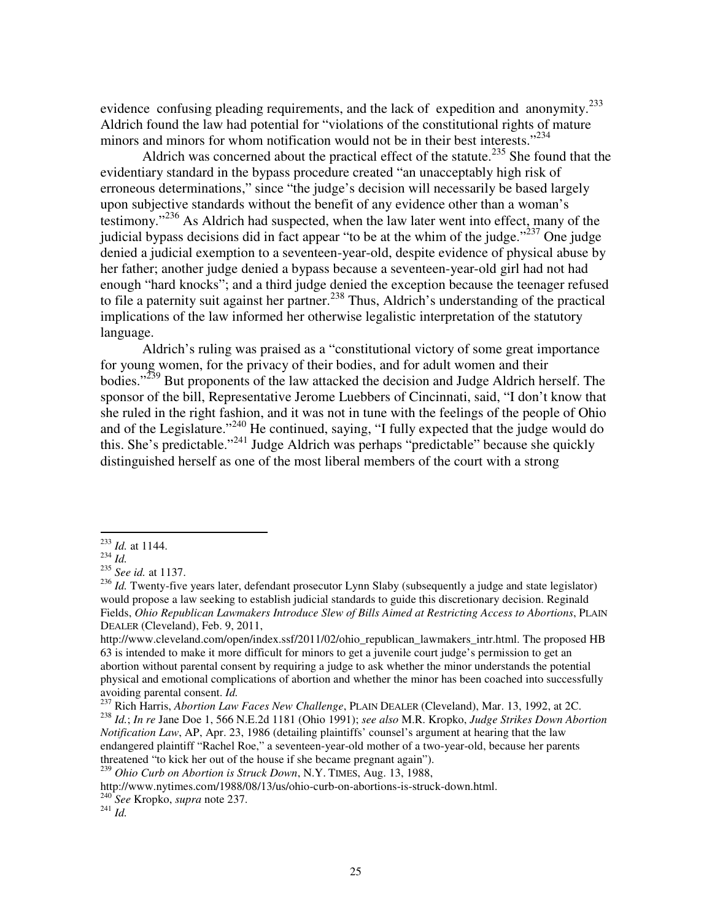evidence confusing pleading requirements, and the lack of expedition and anonymity.<sup>233</sup> Aldrich found the law had potential for "violations of the constitutional rights of mature minors and minors for whom notification would not be in their best interests."<sup>234</sup>

Aldrich was concerned about the practical effect of the statute.<sup>235</sup> She found that the evidentiary standard in the bypass procedure created "an unacceptably high risk of erroneous determinations," since "the judge's decision will necessarily be based largely upon subjective standards without the benefit of any evidence other than a woman's testimony."<sup>236</sup> As Aldrich had suspected, when the law later went into effect, many of the judicial bypass decisions did in fact appear "to be at the whim of the judge."<sup>237</sup> One judge denied a judicial exemption to a seventeen-year-old, despite evidence of physical abuse by her father; another judge denied a bypass because a seventeen-year-old girl had not had enough "hard knocks"; and a third judge denied the exception because the teenager refused to file a paternity suit against her partner.<sup>238</sup> Thus, Aldrich's understanding of the practical implications of the law informed her otherwise legalistic interpretation of the statutory language.

Aldrich's ruling was praised as a "constitutional victory of some great importance for young women, for the privacy of their bodies, and for adult women and their bodies."<sup>239</sup> But proponents of the law attacked the decision and Judge Aldrich herself. The sponsor of the bill, Representative Jerome Luebbers of Cincinnati, said, "I don't know that she ruled in the right fashion, and it was not in tune with the feelings of the people of Ohio and of the Legislature."<sup>240</sup> He continued, saying, "I fully expected that the judge would do this. She's predictable."<sup>241</sup> Judge Aldrich was perhaps "predictable" because she quickly distinguished herself as one of the most liberal members of the court with a strong

<sup>233</sup> *Id.* at 1144.

 $^{234}$  *Id.* 

<sup>235</sup> *See id.* at 1137.

<sup>&</sup>lt;sup>236</sup> *Id.* Twenty-five years later, defendant prosecutor Lynn Slaby (subsequently a judge and state legislator) would propose a law seeking to establish judicial standards to guide this discretionary decision. Reginald Fields, *Ohio Republican Lawmakers Introduce Slew of Bills Aimed at Restricting Access to Abortions*, PLAIN DEALER (Cleveland), Feb. 9, 2011,

http://www.cleveland.com/open/index.ssf/2011/02/ohio\_republican\_lawmakers\_intr.html. The proposed HB 63 is intended to make it more difficult for minors to get a juvenile court judge's permission to get an abortion without parental consent by requiring a judge to ask whether the minor understands the potential physical and emotional complications of abortion and whether the minor has been coached into successfully avoiding parental consent. *Id.* 

<sup>237</sup> Rich Harris, *Abortion Law Faces New Challenge*, PLAIN DEALER (Cleveland), Mar. 13, 1992, at 2C. <sup>238</sup> *Id.*; *In re* Jane Doe 1, 566 N.E.2d 1181 (Ohio 1991); *see also* M.R. Kropko, *Judge Strikes Down Abortion Notification Law*, AP, Apr. 23, 1986 (detailing plaintiffs' counsel's argument at hearing that the law endangered plaintiff "Rachel Roe," a seventeen-year-old mother of a two-year-old, because her parents threatened "to kick her out of the house if she became pregnant again").

<sup>239</sup> *Ohio Curb on Abortion is Struck Down*, N.Y. TIMES, Aug. 13, 1988,

http://www.nytimes.com/1988/08/13/us/ohio-curb-on-abortions-is-struck-down.html.

<sup>240</sup> *See* Kropko, *supra* note 237.

<sup>241</sup> *Id.*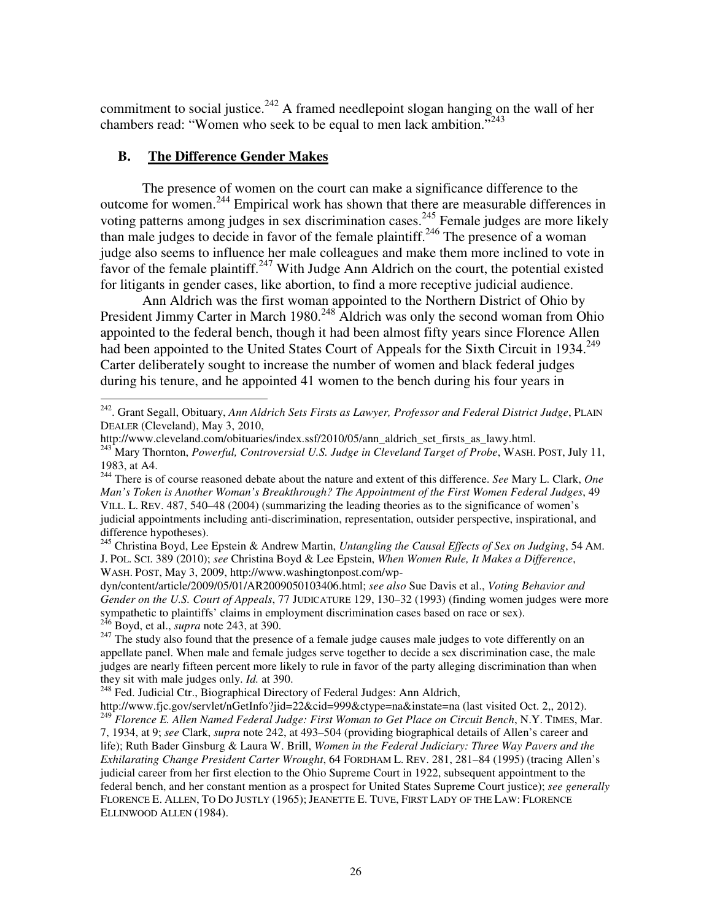commitment to social justice.<sup>242</sup> A framed needlepoint slogan hanging on the wall of her chambers read: "Women who seek to be equal to men lack ambition."<sup>243</sup>

## **B. The Difference Gender Makes**

 $\overline{a}$ 

The presence of women on the court can make a significance difference to the outcome for women.<sup>244</sup> Empirical work has shown that there are measurable differences in voting patterns among judges in sex discrimination cases.<sup>245</sup> Female judges are more likely than male judges to decide in favor of the female plaintiff.<sup>246</sup> The presence of a woman judge also seems to influence her male colleagues and make them more inclined to vote in favor of the female plaintiff.<sup>247</sup> With Judge Ann Aldrich on the court, the potential existed for litigants in gender cases, like abortion, to find a more receptive judicial audience.

Ann Aldrich was the first woman appointed to the Northern District of Ohio by President Jimmy Carter in March 1980.<sup>248</sup> Aldrich was only the second woman from Ohio appointed to the federal bench, though it had been almost fifty years since Florence Allen had been appointed to the United States Court of Appeals for the Sixth Circuit in 1934.<sup>249</sup> Carter deliberately sought to increase the number of women and black federal judges during his tenure, and he appointed 41 women to the bench during his four years in

<sup>242</sup>. Grant Segall, Obituary, *Ann Aldrich Sets Firsts as Lawyer, Professor and Federal District Judge*, PLAIN DEALER (Cleveland), May 3, 2010,

http://www.cleveland.com/obituaries/index.ssf/2010/05/ann\_aldrich\_set\_firsts\_as\_lawy.html.

<sup>243</sup> Mary Thornton, *Powerful, Controversial U.S. Judge in Cleveland Target of Probe*, WASH. POST, July 11, 1983, at A4.

<sup>244</sup> There is of course reasoned debate about the nature and extent of this difference. *See* Mary L. Clark, *One Man's Token is Another Woman's Breakthrough? The Appointment of the First Women Federal Judges*, 49 VILL. L. REV. 487, 540–48 (2004) (summarizing the leading theories as to the significance of women's judicial appointments including anti-discrimination, representation, outsider perspective, inspirational, and difference hypotheses).

<sup>245</sup> Christina Boyd, Lee Epstein & Andrew Martin, *Untangling the Causal Effects of Sex on Judging*, 54 AM. J. POL. SCI. 389 (2010); *see* Christina Boyd & Lee Epstein, *When Women Rule, It Makes a Difference*, WASH. POST, May 3, 2009, http://www.washingtonpost.com/wp-

dyn/content/article/2009/05/01/AR2009050103406.html; *see also* Sue Davis et al., *Voting Behavior and Gender on the U.S. Court of Appeals*, 77 JUDICATURE 129, 130–32 (1993) (finding women judges were more sympathetic to plaintiffs' claims in employment discrimination cases based on race or sex). <sup>246</sup> Boyd, et al., *supra* note 243, at 390.

<sup>&</sup>lt;sup>247</sup> The study also found that the presence of a female judge causes male judges to vote differently on an appellate panel. When male and female judges serve together to decide a sex discrimination case, the male judges are nearly fifteen percent more likely to rule in favor of the party alleging discrimination than when they sit with male judges only. *Id.* at 390.

<sup>&</sup>lt;sup>248</sup> Fed. Judicial Ctr., Biographical Directory of Federal Judges: Ann Aldrich,

http://www.fjc.gov/servlet/nGetInfo?jid=22&cid=999&ctype=na&instate=na (last visited Oct. 2,, 2012). <sup>249</sup> *Florence E. Allen Named Federal Judge: First Woman to Get Place on Circuit Bench*, N.Y. TIMES, Mar.

<sup>7, 1934,</sup> at 9; *see* Clark, *supra* note 242, at 493–504 (providing biographical details of Allen's career and life); Ruth Bader Ginsburg & Laura W. Brill, *Women in the Federal Judiciary: Three Way Pavers and the Exhilarating Change President Carter Wrought*, 64 FORDHAM L. REV. 281, 281–84 (1995) (tracing Allen's judicial career from her first election to the Ohio Supreme Court in 1922, subsequent appointment to the federal bench, and her constant mention as a prospect for United States Supreme Court justice); *see generally* FLORENCE E. ALLEN, TO DO JUSTLY (1965); JEANETTE E. TUVE, FIRST LADY OF THE LAW: FLORENCE ELLINWOOD ALLEN (1984).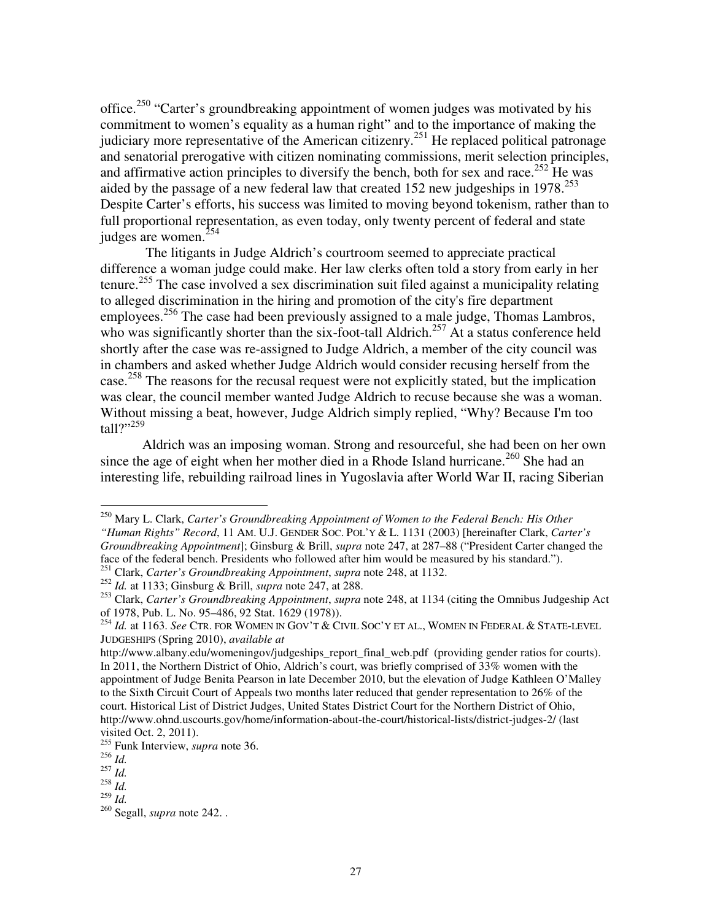office.<sup>250</sup> "Carter's groundbreaking appointment of women judges was motivated by his commitment to women's equality as a human right" and to the importance of making the judiciary more representative of the American citizenry.<sup>251</sup> He replaced political patronage and senatorial prerogative with citizen nominating commissions, merit selection principles, and affirmative action principles to diversify the bench, both for sex and race.<sup>252</sup> He was aided by the passage of a new federal law that created 152 new judgeships in  $1978$ <sup>253</sup> Despite Carter's efforts, his success was limited to moving beyond tokenism, rather than to full proportional representation, as even today, only twenty percent of federal and state judges are women. $254$ 

 The litigants in Judge Aldrich's courtroom seemed to appreciate practical difference a woman judge could make. Her law clerks often told a story from early in her tenure.<sup>255</sup> The case involved a sex discrimination suit filed against a municipality relating to alleged discrimination in the hiring and promotion of the city's fire department employees.<sup>256</sup> The case had been previously assigned to a male judge, Thomas Lambros, who was significantly shorter than the six-foot-tall Aldrich.<sup>257</sup> At a status conference held shortly after the case was re-assigned to Judge Aldrich, a member of the city council was in chambers and asked whether Judge Aldrich would consider recusing herself from the case.<sup>258</sup> The reasons for the recusal request were not explicitly stated, but the implication was clear, the council member wanted Judge Aldrich to recuse because she was a woman. Without missing a beat, however, Judge Aldrich simply replied, "Why? Because I'm too  $tall?$ <sup>259</sup>

Aldrich was an imposing woman. Strong and resourceful, she had been on her own since the age of eight when her mother died in a Rhode Island hurricane.<sup>260</sup> She had an interesting life, rebuilding railroad lines in Yugoslavia after World War II, racing Siberian

<sup>250</sup> Mary L. Clark, *Carter's Groundbreaking Appointment of Women to the Federal Bench: His Other "Human Rights" Record*, 11 AM. U.J. GENDER SOC. POL'Y & L. 1131 (2003) [hereinafter Clark, *Carter's Groundbreaking Appointment*]; Ginsburg & Brill, *supra* note 247, at 287–88 ("President Carter changed the face of the federal bench. Presidents who followed after him would be measured by his standard."). <sup>251</sup> Clark, *Carter's Groundbreaking Appointment*, *supra* note 248, at 1132.

<sup>252</sup> *Id.* at 1133; Ginsburg & Brill, *supra* note 247, at 288.

<sup>253</sup> Clark, *Carter's Groundbreaking Appointment*, *supra* note 248, at 1134 (citing the Omnibus Judgeship Act of 1978, Pub. L. No. 95–486, 92 Stat. 1629 (1978)).

<sup>254</sup> *Id.* at 1163. *See* CTR. FOR WOMEN IN GOV'T & CIVIL SOC'Y ET AL., WOMEN IN FEDERAL & STATE-LEVEL JUDGESHIPS (Spring 2010), *available at*

http://www.albany.edu/womeningov/judgeships\_report\_final\_web.pdf (providing gender ratios for courts). In 2011, the Northern District of Ohio, Aldrich's court, was briefly comprised of 33% women with the appointment of Judge Benita Pearson in late December 2010, but the elevation of Judge Kathleen O'Malley to the Sixth Circuit Court of Appeals two months later reduced that gender representation to 26% of the court. Historical List of District Judges, United States District Court for the Northern District of Ohio, http://www.ohnd.uscourts.gov/home/information-about-the-court/historical-lists/district-judges-2/ (last visited Oct. 2, 2011).

<sup>255</sup> Funk Interview, *supra* note 36.

 $\overline{256}$  *Id.* 

 $^{257}$  *Id.* 

 $258$  *Id.* 

 $^{259}$  *Id.* 

<sup>260</sup> Segall, *supra* note 242. .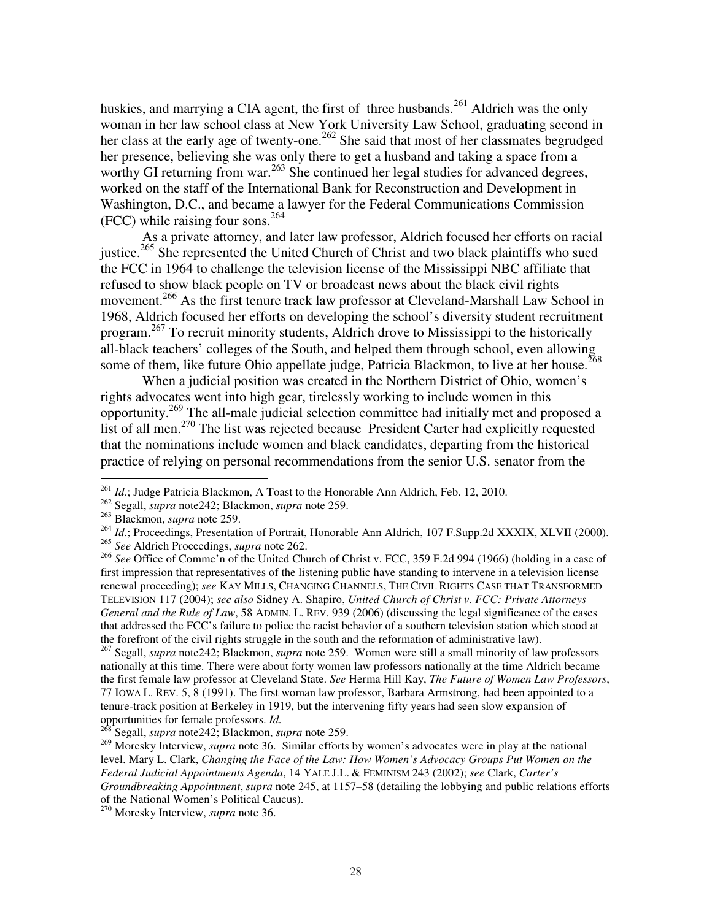huskies, and marrying a CIA agent, the first of three husbands.<sup>261</sup> Aldrich was the only woman in her law school class at New York University Law School, graduating second in her class at the early age of twenty-one.<sup>262</sup> She said that most of her classmates begrudged her presence, believing she was only there to get a husband and taking a space from a worthy GI returning from war.<sup>263</sup> She continued her legal studies for advanced degrees, worked on the staff of the International Bank for Reconstruction and Development in Washington, D.C., and became a lawyer for the Federal Communications Commission (FCC) while raising four sons. $264$ 

As a private attorney, and later law professor, Aldrich focused her efforts on racial justice.<sup>265</sup> She represented the United Church of Christ and two black plaintiffs who sued the FCC in 1964 to challenge the television license of the Mississippi NBC affiliate that refused to show black people on TV or broadcast news about the black civil rights movement.<sup>266</sup> As the first tenure track law professor at Cleveland-Marshall Law School in 1968, Aldrich focused her efforts on developing the school's diversity student recruitment program.<sup>267</sup> To recruit minority students, Aldrich drove to Mississippi to the historically all-black teachers' colleges of the South, and helped them through school, even allowing some of them, like future Ohio appellate judge, Patricia Blackmon, to live at her house.<sup>268</sup>

When a judicial position was created in the Northern District of Ohio, women's rights advocates went into high gear, tirelessly working to include women in this opportunity.<sup>269</sup> The all-male judicial selection committee had initially met and proposed a list of all men.<sup>270</sup> The list was rejected because President Carter had explicitly requested that the nominations include women and black candidates, departing from the historical practice of relying on personal recommendations from the senior U.S. senator from the

<sup>261</sup> *Id.*; Judge Patricia Blackmon, A Toast to the Honorable Ann Aldrich, Feb. 12, 2010.

<sup>262</sup> Segall, *supra* note242; Blackmon, *supra* note 259.

<sup>263</sup> Blackmon, *supra* note 259.

<sup>&</sup>lt;sup>264</sup> *Id.*; Proceedings, Presentation of Portrait, Honorable Ann Aldrich, 107 F.Supp.2d XXXIX, XLVII (2000). <sup>265</sup> *See* Aldrich Proceedings, *supra* note 262.

<sup>&</sup>lt;sup>266</sup> See Office of Commc'n of the United Church of Christ v. FCC, 359 F.2d 994 (1966) (holding in a case of first impression that representatives of the listening public have standing to intervene in a television license renewal proceeding); *see* KAY MILLS, CHANGING CHANNELS, THE CIVIL RIGHTS CASE THAT TRANSFORMED TELEVISION 117 (2004); *see also* Sidney A. Shapiro, *United Church of Christ v. FCC: Private Attorneys General and the Rule of Law*, 58 ADMIN. L. REV. 939 (2006) (discussing the legal significance of the cases that addressed the FCC's failure to police the racist behavior of a southern television station which stood at the forefront of the civil rights struggle in the south and the reformation of administrative law).

<sup>267</sup> Segall, *supra* note242; Blackmon, *supra* note 259. Women were still a small minority of law professors nationally at this time. There were about forty women law professors nationally at the time Aldrich became the first female law professor at Cleveland State. *See* Herma Hill Kay, *The Future of Women Law Professors*, 77 IOWA L. REV. 5, 8 (1991). The first woman law professor, Barbara Armstrong, had been appointed to a tenure-track position at Berkeley in 1919, but the intervening fifty years had seen slow expansion of opportunities for female professors. *Id.*<br><sup>268</sup> S.

<sup>268</sup> Segall, *supra* note242; Blackmon, *supra* note 259.

<sup>&</sup>lt;sup>269</sup> Moresky Interview, *supra* note 36. Similar efforts by women's advocates were in play at the national level. Mary L. Clark, *Changing the Face of the Law: How Women's Advocacy Groups Put Women on the Federal Judicial Appointments Agenda*, 14 YALE J.L. & FEMINISM 243 (2002); *see* Clark, *Carter's Groundbreaking Appointment*, *supra* note 245, at 1157–58 (detailing the lobbying and public relations efforts of the National Women's Political Caucus).

<sup>270</sup> Moresky Interview, *supra* note 36.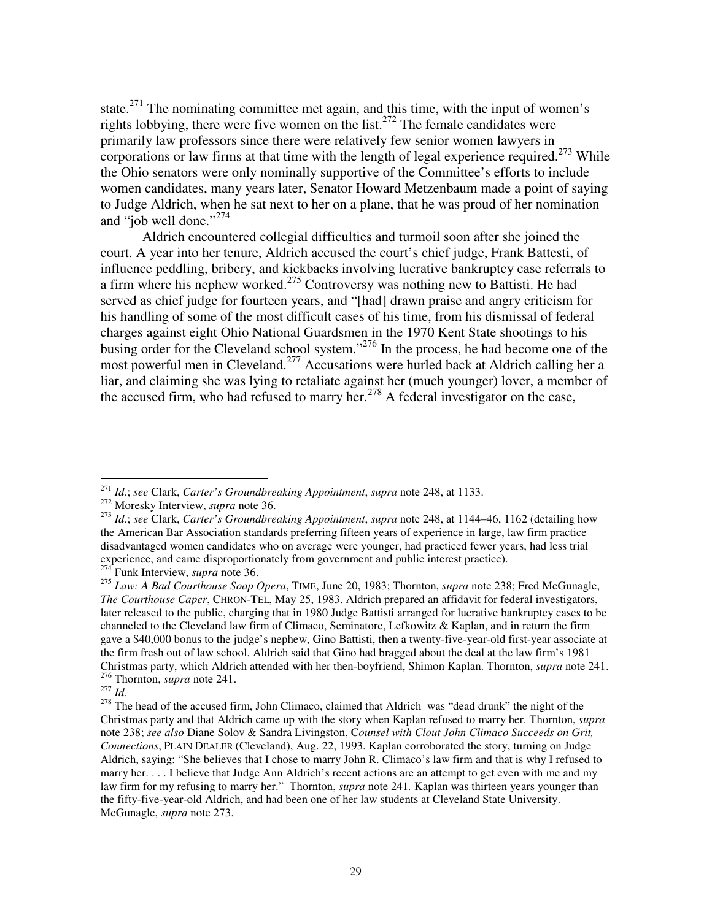state. $271$  The nominating committee met again, and this time, with the input of women's rights lobbying, there were five women on the list.<sup>272</sup> The female candidates were primarily law professors since there were relatively few senior women lawyers in corporations or law firms at that time with the length of legal experience required.<sup>273</sup> While the Ohio senators were only nominally supportive of the Committee's efforts to include women candidates, many years later, Senator Howard Metzenbaum made a point of saying to Judge Aldrich, when he sat next to her on a plane, that he was proud of her nomination and "job well done."<sup>274</sup>

Aldrich encountered collegial difficulties and turmoil soon after she joined the court. A year into her tenure, Aldrich accused the court's chief judge, Frank Battesti, of influence peddling, bribery, and kickbacks involving lucrative bankruptcy case referrals to a firm where his nephew worked.<sup>275</sup> Controversy was nothing new to Battisti. He had served as chief judge for fourteen years, and "[had] drawn praise and angry criticism for his handling of some of the most difficult cases of his time, from his dismissal of federal charges against eight Ohio National Guardsmen in the 1970 Kent State shootings to his busing order for the Cleveland school system."<sup>276</sup> In the process, he had become one of the most powerful men in Cleveland.<sup>277</sup> Accusations were hurled back at Aldrich calling her a liar, and claiming she was lying to retaliate against her (much younger) lover, a member of the accused firm, who had refused to marry her. $278$  A federal investigator on the case,

 $\overline{a}$ <sup>271</sup> *Id.*; *see* Clark, *Carter's Groundbreaking Appointment*, *supra* note 248, at 1133.

<sup>272</sup> Moresky Interview, *supra* note 36.

<sup>273</sup> *Id.*; *see* Clark, *Carter's Groundbreaking Appointment*, *supra* note 248, at 1144–46, 1162 (detailing how the American Bar Association standards preferring fifteen years of experience in large, law firm practice disadvantaged women candidates who on average were younger, had practiced fewer years, had less trial experience, and came disproportionately from government and public interest practice). <sup>274</sup> Funk Interview, *supra* note 36.

<sup>275</sup> *Law: A Bad Courthouse Soap Opera*, TIME, June 20, 1983; Thornton, *supra* note 238; Fred McGunagle, *The Courthouse Caper*, CHRON-TEL, May 25, 1983. Aldrich prepared an affidavit for federal investigators, later released to the public, charging that in 1980 Judge Battisti arranged for lucrative bankruptcy cases to be channeled to the Cleveland law firm of Climaco, Seminatore, Lefkowitz & Kaplan, and in return the firm gave a \$40,000 bonus to the judge's nephew, Gino Battisti, then a twenty-five-year-old first-year associate at the firm fresh out of law school. Aldrich said that Gino had bragged about the deal at the law firm's 1981 Christmas party, which Aldrich attended with her then-boyfriend, Shimon Kaplan. Thornton, *supra* note 241.

<sup>276</sup> Thornton, *supra* note 241.

<sup>277</sup> *Id.* 

<sup>&</sup>lt;sup>278</sup> The head of the accused firm, John Climaco, claimed that Aldrich was "dead drunk" the night of the Christmas party and that Aldrich came up with the story when Kaplan refused to marry her. Thornton, *supra* note 238; *see also* Diane Solov & Sandra Livingston, C*ounsel with Clout John Climaco Succeeds on Grit, Connections*, PLAIN DEALER (Cleveland), Aug. 22, 1993. Kaplan corroborated the story, turning on Judge Aldrich, saying: "She believes that I chose to marry John R. Climaco's law firm and that is why I refused to marry her. . . . I believe that Judge Ann Aldrich's recent actions are an attempt to get even with me and my law firm for my refusing to marry her." Thornton, *supra* note 241*.* Kaplan was thirteen years younger than the fifty-five-year-old Aldrich, and had been one of her law students at Cleveland State University. McGunagle, *supra* note 273.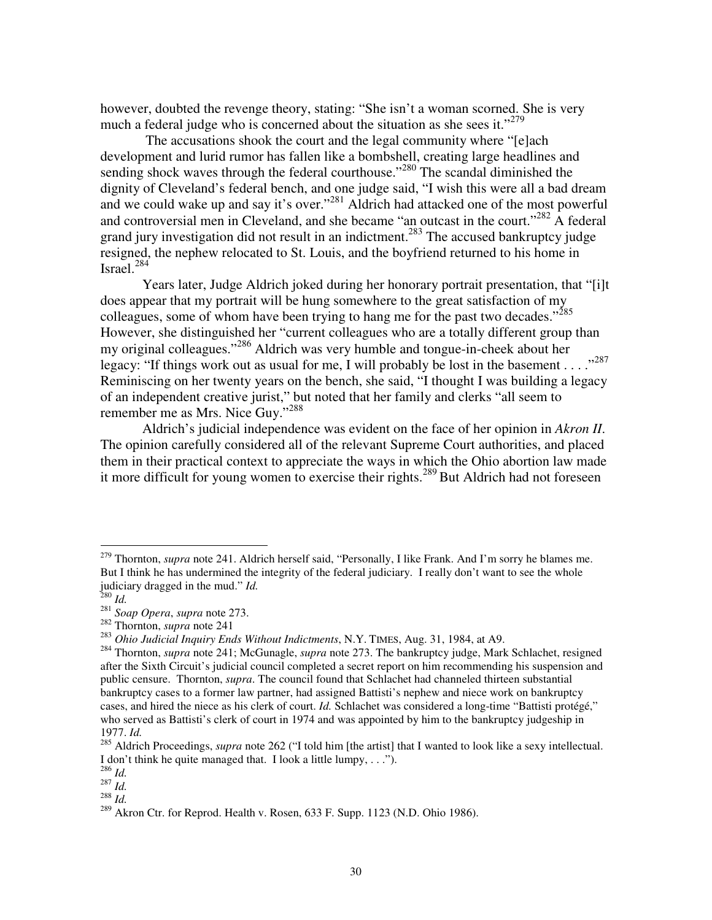however, doubted the revenge theory, stating: "She isn't a woman scorned. She is very much a federal judge who is concerned about the situation as she sees it."<sup>279</sup>

 The accusations shook the court and the legal community where "[e]ach development and lurid rumor has fallen like a bombshell, creating large headlines and sending shock waves through the federal courthouse."<sup>280</sup> The scandal diminished the dignity of Cleveland's federal bench, and one judge said, "I wish this were all a bad dream and we could wake up and say it's over."<sup>281</sup> Aldrich had attacked one of the most powerful and controversial men in Cleveland, and she became "an outcast in the court."<sup>282</sup> A federal grand jury investigation did not result in an indictment.<sup>283</sup> The accused bankruptcy judge resigned, the nephew relocated to St. Louis, and the boyfriend returned to his home in Israel. $^{284}$ 

Years later, Judge Aldrich joked during her honorary portrait presentation, that "[i]t does appear that my portrait will be hung somewhere to the great satisfaction of my colleagues, some of whom have been trying to hang me for the past two decades."<sup>285</sup> However, she distinguished her "current colleagues who are a totally different group than my original colleagues."<sup>286</sup> Aldrich was very humble and tongue-in-cheek about her legacy: "If things work out as usual for me, I will probably be lost in the basement . . . . "<sup>287</sup> Reminiscing on her twenty years on the bench, she said, "I thought I was building a legacy of an independent creative jurist," but noted that her family and clerks "all seem to remember me as Mrs. Nice Guy."<sup>288</sup>

Aldrich's judicial independence was evident on the face of her opinion in *Akron II*. The opinion carefully considered all of the relevant Supreme Court authorities, and placed them in their practical context to appreciate the ways in which the Ohio abortion law made it more difficult for young women to exercise their rights.<sup>289</sup> But Aldrich had not foreseen

<sup>279</sup> Thornton, *supra* note 241. Aldrich herself said, "Personally, I like Frank. And I'm sorry he blames me. But I think he has undermined the integrity of the federal judiciary. I really don't want to see the whole judiciary dragged in the mud." *Id.* 

<sup>280</sup> *Id.*

<sup>281</sup> *Soap Opera*, *supra* note 273.

<sup>282</sup> Thornton, *supra* note 241

<sup>283</sup> *Ohio Judicial Inquiry Ends Without Indictments*, N.Y. TIMES, Aug. 31, 1984, at A9.

<sup>284</sup> Thornton, *supra* note 241; McGunagle, *supra* note 273. The bankruptcy judge, Mark Schlachet, resigned after the Sixth Circuit's judicial council completed a secret report on him recommending his suspension and public censure. Thornton, *supra*. The council found that Schlachet had channeled thirteen substantial bankruptcy cases to a former law partner, had assigned Battisti's nephew and niece work on bankruptcy cases, and hired the niece as his clerk of court. *Id.* Schlachet was considered a long-time "Battisti protégé," who served as Battisti's clerk of court in 1974 and was appointed by him to the bankruptcy judgeship in 1977. *Id.*

<sup>&</sup>lt;sup>285</sup> Aldrich Proceedings, *supra* note 262 ("I told him [the artist] that I wanted to look like a sexy intellectual. I don't think he quite managed that. I look a little lumpy, . . .").

<sup>286</sup> *Id.* 

 $^{287}$  *Id.* 

 $^{14}$ <sup>288</sup> *Id.* 

 $289$  Akron Ctr. for Reprod. Health v. Rosen, 633 F. Supp. 1123 (N.D. Ohio 1986).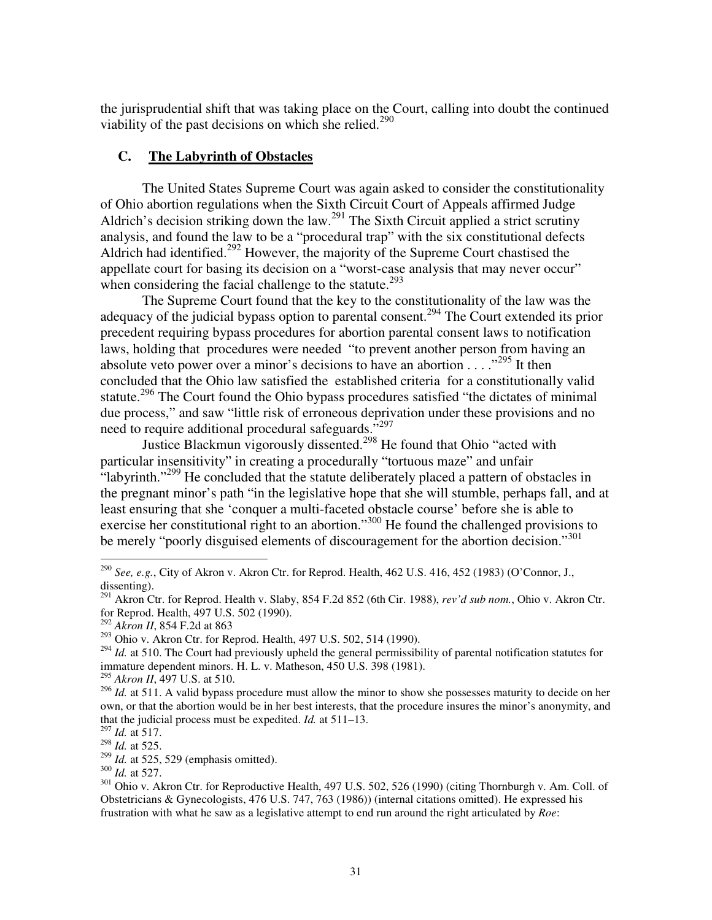the jurisprudential shift that was taking place on the Court, calling into doubt the continued viability of the past decisions on which she relied.<sup>290</sup>

### **C. The Labyrinth of Obstacles**

The United States Supreme Court was again asked to consider the constitutionality of Ohio abortion regulations when the Sixth Circuit Court of Appeals affirmed Judge Aldrich's decision striking down the law.<sup>291</sup> The Sixth Circuit applied a strict scrutiny analysis, and found the law to be a "procedural trap" with the six constitutional defects Aldrich had identified.<sup>292</sup> However, the majority of the Supreme Court chastised the appellate court for basing its decision on a "worst-case analysis that may never occur" when considering the facial challenge to the statute.<sup>293</sup>

The Supreme Court found that the key to the constitutionality of the law was the adequacy of the judicial bypass option to parental consent.<sup>294</sup> The Court extended its prior precedent requiring bypass procedures for abortion parental consent laws to notification laws, holding that procedures were needed "to prevent another person from having an absolute veto power over a minor's decisions to have an abortion  $\dots$   $\cdot$   $\cdot$   $\cdot$   $\cdot$   $\cdot$   $\cdot$  It then concluded that the Ohio law satisfied the established criteria for a constitutionally valid statute.<sup>296</sup> The Court found the Ohio bypass procedures satisfied "the dictates of minimal" due process," and saw "little risk of erroneous deprivation under these provisions and no need to require additional procedural safeguards."<sup>297</sup>

Justice Blackmun vigorously dissented.<sup>298</sup> He found that Ohio "acted with particular insensitivity" in creating a procedurally "tortuous maze" and unfair "labyrinth."<sup>299</sup> He concluded that the statute deliberately placed a pattern of obstacles in the pregnant minor's path "in the legislative hope that she will stumble, perhaps fall, and at least ensuring that she 'conquer a multi-faceted obstacle course' before she is able to exercise her constitutional right to an abortion."<sup>300</sup> He found the challenged provisions to be merely "poorly disguised elements of discouragement for the abortion decision."<sup>301</sup>

<sup>290</sup> *See, e.g.*, City of Akron v. Akron Ctr. for Reprod. Health, 462 U.S. 416, 452 (1983) (O'Connor, J., dissenting).

<sup>291</sup> Akron Ctr. for Reprod. Health v. Slaby, 854 F.2d 852 (6th Cir. 1988), *rev'd sub nom.*, Ohio v. Akron Ctr. for Reprod. Health, 497 U.S. 502 (1990).

<sup>292</sup> *Akron II*, 854 F.2d at 863

<sup>&</sup>lt;sup>293</sup> Ohio v. Akron Ctr. for Reprod. Health, 497 U.S. 502, 514 (1990).

<sup>&</sup>lt;sup>294</sup> *Id.* at 510. The Court had previously upheld the general permissibility of parental notification statutes for immature dependent minors. H. L. v. Matheson, 450 U.S. 398 (1981).

<sup>295</sup> *Akron II*, 497 U.S. at 510.

<sup>&</sup>lt;sup>296</sup> *Id.* at 511. A valid bypass procedure must allow the minor to show she possesses maturity to decide on her own, or that the abortion would be in her best interests, that the procedure insures the minor's anonymity, and that the judicial process must be expedited. *Id.* at 511–13.

<sup>297</sup> *Id.* at 517.

<sup>298</sup> *Id.* at 525.

<sup>299</sup> *Id.* at 525, 529 (emphasis omitted).

<sup>300</sup> *Id.* at 527.

<sup>&</sup>lt;sup>301</sup> Ohio v. Akron Ctr. for Reproductive Health, 497 U.S. 502, 526 (1990) (citing Thornburgh v. Am. Coll. of Obstetricians & Gynecologists, 476 U.S. 747, 763 (1986)) (internal citations omitted). He expressed his frustration with what he saw as a legislative attempt to end run around the right articulated by *Roe*: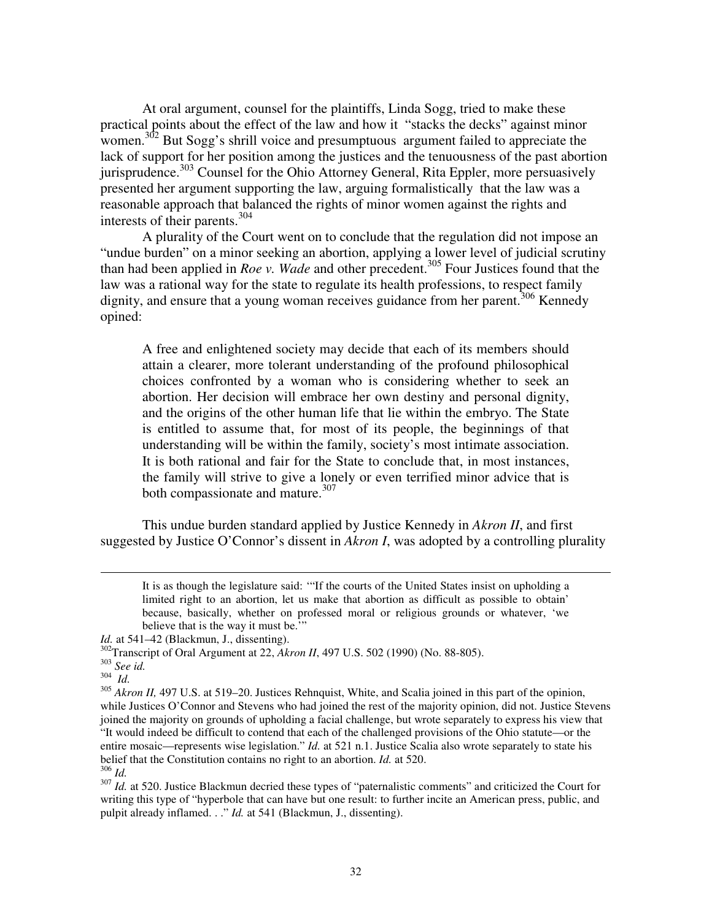At oral argument, counsel for the plaintiffs, Linda Sogg, tried to make these practical points about the effect of the law and how it "stacks the decks" against minor women.<sup>302</sup> But Sogg's shrill voice and presumptuous argument failed to appreciate the lack of support for her position among the justices and the tenuousness of the past abortion jurisprudence.<sup>303</sup> Counsel for the Ohio Attorney General, Rita Eppler, more persuasively presented her argument supporting the law, arguing formalistically that the law was a reasonable approach that balanced the rights of minor women against the rights and interests of their parents.<sup>304</sup>

A plurality of the Court went on to conclude that the regulation did not impose an "undue burden" on a minor seeking an abortion, applying a lower level of judicial scrutiny than had been applied in *Roe v. Wade* and other precedent.<sup>305</sup> Four Justices found that the law was a rational way for the state to regulate its health professions, to respect family dignity, and ensure that a young woman receives guidance from her parent.<sup>306</sup> Kennedy opined:

A free and enlightened society may decide that each of its members should attain a clearer, more tolerant understanding of the profound philosophical choices confronted by a woman who is considering whether to seek an abortion. Her decision will embrace her own destiny and personal dignity, and the origins of the other human life that lie within the embryo. The State is entitled to assume that, for most of its people, the beginnings of that understanding will be within the family, society's most intimate association. It is both rational and fair for the State to conclude that, in most instances, the family will strive to give a lonely or even terrified minor advice that is both compassionate and mature.<sup>307</sup>

This undue burden standard applied by Justice Kennedy in *Akron II*, and first suggested by Justice O'Connor's dissent in *Akron I*, was adopted by a controlling plurality

It is as though the legislature said: '"If the courts of the United States insist on upholding a limited right to an abortion, let us make that abortion as difficult as possible to obtain' because, basically, whether on professed moral or religious grounds or whatever, 'we believe that is the way it must be."

*Id.* at 541–42 (Blackmun, J., dissenting).

<sup>302</sup>Transcript of Oral Argument at 22, *Akron II*, 497 U.S. 502 (1990) (No. 88-805).

<sup>303</sup> *See id.*

<sup>304</sup> *Id.*

<sup>&</sup>lt;sup>305</sup> *Akron II*, 497 U.S. at 519–20. Justices Rehnquist, White, and Scalia joined in this part of the opinion, while Justices O'Connor and Stevens who had joined the rest of the majority opinion, did not. Justice Stevens joined the majority on grounds of upholding a facial challenge, but wrote separately to express his view that "It would indeed be difficult to contend that each of the challenged provisions of the Ohio statute—or the entire mosaic—represents wise legislation." *Id.* at 521 n.1. Justice Scalia also wrote separately to state his belief that the Constitution contains no right to an abortion. *Id.* at 520. <sup>306</sup> *Id.*

<sup>&</sup>lt;sup>307</sup> *Id.* at 520. Justice Blackmun decried these types of "paternalistic comments" and criticized the Court for writing this type of "hyperbole that can have but one result: to further incite an American press, public, and pulpit already inflamed. . ." *Id.* at 541 (Blackmun, J., dissenting).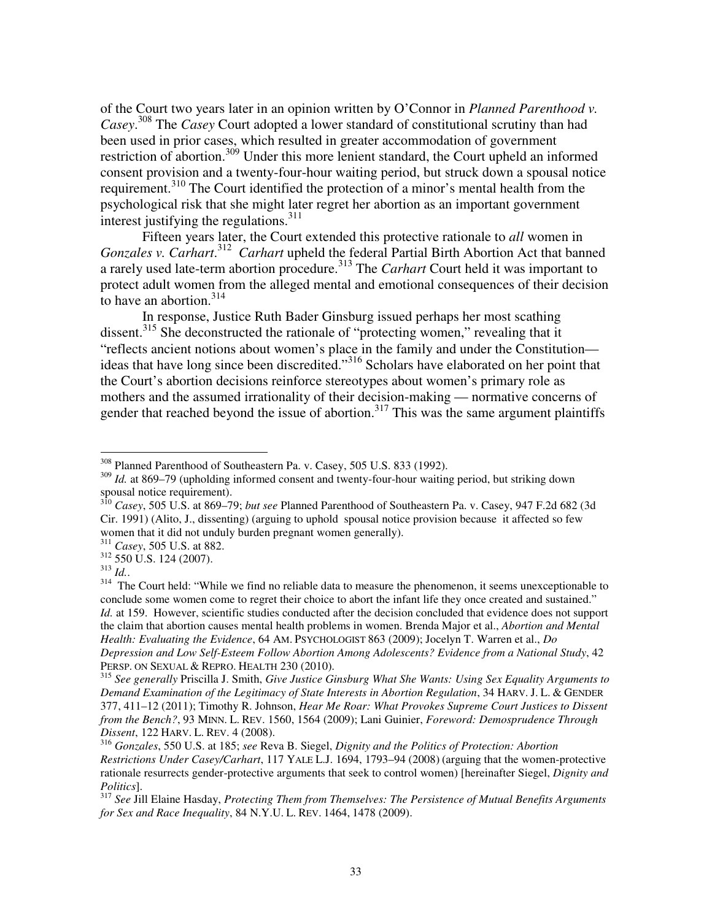of the Court two years later in an opinion written by O'Connor in *Planned Parenthood v. Casey*. <sup>308</sup> The *Casey* Court adopted a lower standard of constitutional scrutiny than had been used in prior cases, which resulted in greater accommodation of government restriction of abortion.<sup>309</sup> Under this more lenient standard, the Court upheld an informed consent provision and a twenty-four-hour waiting period, but struck down a spousal notice requirement.<sup>310</sup> The Court identified the protection of a minor's mental health from the psychological risk that she might later regret her abortion as an important government interest justifying the regulations. $311$ 

Fifteen years later, the Court extended this protective rationale to *all* women in Gonzales v. Carhart.<sup>312</sup> Carhart upheld the federal Partial Birth Abortion Act that banned a rarely used late-term abortion procedure.<sup>313</sup> The *Carhart* Court held it was important to protect adult women from the alleged mental and emotional consequences of their decision to have an abortion. $314$ 

In response, Justice Ruth Bader Ginsburg issued perhaps her most scathing dissent.<sup>315</sup> She deconstructed the rationale of "protecting women," revealing that it "reflects ancient notions about women's place in the family and under the Constitution ideas that have long since been discredited."<sup>316</sup> Scholars have elaborated on her point that the Court's abortion decisions reinforce stereotypes about women's primary role as mothers and the assumed irrationality of their decision-making — normative concerns of gender that reached beyond the issue of abortion.<sup>317</sup> This was the same argument plaintiffs

<sup>308</sup> Planned Parenthood of Southeastern Pa. v. Casey, 505 U.S. 833 (1992).

<sup>&</sup>lt;sup>309</sup> *Id.* at 869–79 (upholding informed consent and twenty-four-hour waiting period, but striking down spousal notice requirement).

<sup>310</sup> *Casey*, 505 U.S. at 869–79; *but see* Planned Parenthood of Southeastern Pa. v. Casey, 947 F.2d 682 (3d Cir. 1991) (Alito, J., dissenting) (arguing to uphold spousal notice provision because it affected so few women that it did not unduly burden pregnant women generally).

<sup>311</sup> *Casey*, 505 U.S. at 882.

<sup>312</sup> 550 U.S. 124 (2007).

<sup>313</sup> *Id.*.

<sup>&</sup>lt;sup>314</sup> The Court held: "While we find no reliable data to measure the phenomenon, it seems unexceptionable to conclude some women come to regret their choice to abort the infant life they once created and sustained." *Id.* at 159. However, scientific studies conducted after the decision concluded that evidence does not support the claim that abortion causes mental health problems in women. Brenda Major et al., *Abortion and Mental Health: Evaluating the Evidence*, 64 AM. PSYCHOLOGIST 863 (2009); Jocelyn T. Warren et al., *Do Depression and Low Self-Esteem Follow Abortion Among Adolescents? Evidence from a National Study*, 42 PERSP. ON SEXUAL & REPRO. HEALTH 230 (2010).

<sup>315</sup> *See generally* Priscilla J. Smith, *Give Justice Ginsburg What She Wants: Using Sex Equality Arguments to Demand Examination of the Legitimacy of State Interests in Abortion Regulation*, 34 HARV. J. L. & GENDER 377, 411–12 (2011); Timothy R. Johnson, *Hear Me Roar: What Provokes Supreme Court Justices to Dissent from the Bench?*, 93 MINN. L. REV. 1560, 1564 (2009); Lani Guinier, *Foreword: Demosprudence Through Dissent*, 122 HARV. L. REV. 4 (2008).

<sup>316</sup> *Gonzales*, 550 U.S. at 185; *see* Reva B. Siegel, *Dignity and the Politics of Protection: Abortion Restrictions Under Casey/Carhart*, 117 YALE L.J. 1694, 1793–94 (2008) (arguing that the women-protective rationale resurrects gender-protective arguments that seek to control women) [hereinafter Siegel, *Dignity and Politics*].

<sup>317</sup> *See* Jill Elaine Hasday, *Protecting Them from Themselves: The Persistence of Mutual Benefits Arguments for Sex and Race Inequality*, 84 N.Y.U. L. REV. 1464, 1478 (2009).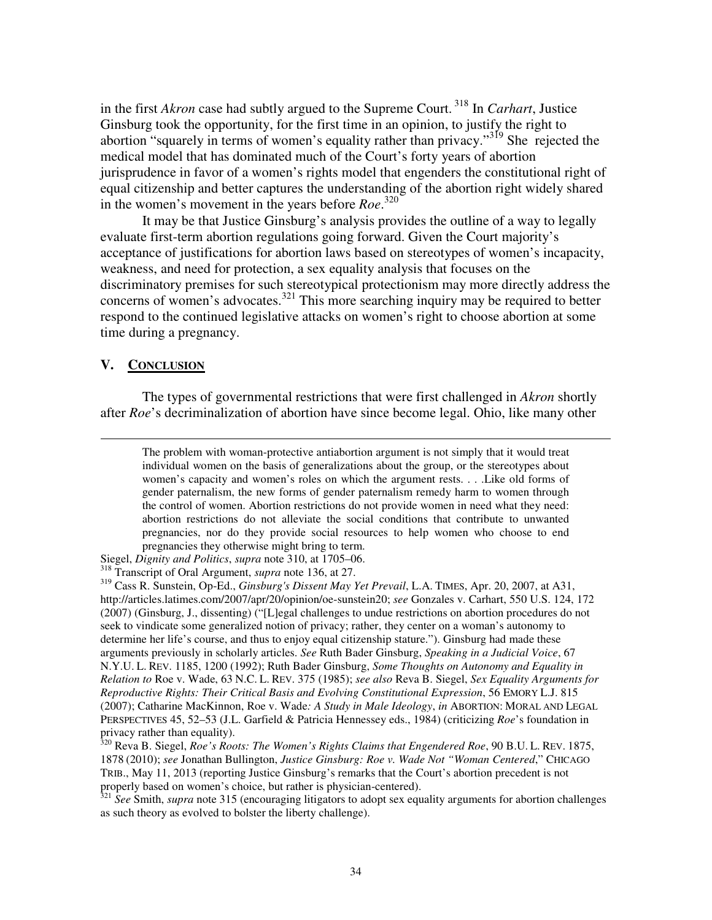in the first *Akron* case had subtly argued to the Supreme Court.<sup>318</sup> In *Carhart*, Justice Ginsburg took the opportunity, for the first time in an opinion, to justify the right to abortion "squarely in terms of women's equality rather than privacy."<sup>319</sup> She rejected the medical model that has dominated much of the Court's forty years of abortion jurisprudence in favor of a women's rights model that engenders the constitutional right of equal citizenship and better captures the understanding of the abortion right widely shared in the women's movement in the years before *Roe*. 320

It may be that Justice Ginsburg's analysis provides the outline of a way to legally evaluate first-term abortion regulations going forward. Given the Court majority's acceptance of justifications for abortion laws based on stereotypes of women's incapacity, weakness, and need for protection, a sex equality analysis that focuses on the discriminatory premises for such stereotypical protectionism may more directly address the concerns of women's advocates.<sup>321</sup> This more searching inquiry may be required to better respond to the continued legislative attacks on women's right to choose abortion at some time during a pregnancy.

#### **V. CONCLUSION**

 $\overline{a}$ 

The types of governmental restrictions that were first challenged in *Akron* shortly after *Roe*'s decriminalization of abortion have since become legal. Ohio, like many other

Siegel, *Dignity and Politics*, *supra* note 310, at 1705–06.

<sup>318</sup> Transcript of Oral Argument, *supra* note 136, at 27.

<sup>319</sup> Cass R. Sunstein, Op-Ed., *Ginsburg's Dissent May Yet Prevail*, L.A. TIMES, Apr. 20, 2007, at A31, http://articles.latimes.com/2007/apr/20/opinion/oe-sunstein20; *see* Gonzales v. Carhart, 550 U.S. 124, 172 (2007) (Ginsburg, J., dissenting) ("[L]egal challenges to undue restrictions on abortion procedures do not seek to vindicate some generalized notion of privacy; rather, they center on a woman's autonomy to determine her life's course, and thus to enjoy equal citizenship stature."). Ginsburg had made these arguments previously in scholarly articles. *See* Ruth Bader Ginsburg, *Speaking in a Judicial Voice*, 67 N.Y.U. L. REV. 1185, 1200 (1992); Ruth Bader Ginsburg, *Some Thoughts on Autonomy and Equality in Relation to* Roe v. Wade, 63 N.C. L. REV. 375 (1985); *see also* Reva B. Siegel, *Sex Equality Arguments for Reproductive Rights: Their Critical Basis and Evolving Constitutional Expression*, 56 EMORY L.J. 815 (2007); Catharine MacKinnon, Roe v. Wade*: A Study in Male Ideology*, *in* ABORTION: MORAL AND LEGAL PERSPECTIVES 45, 52–53 (J.L. Garfield & Patricia Hennessey eds., 1984) (criticizing *Roe*'s foundation in privacy rather than equality).

<sup>320</sup> Reva B. Siegel, *Roe's Roots: The Women's Rights Claims that Engendered Roe*, 90 B.U. L. REV. 1875, 1878 (2010); *see* Jonathan Bullington, *Justice Ginsburg: Roe v. Wade Not "Woman Centered*," CHICAGO TRIB., May 11, 2013 (reporting Justice Ginsburg's remarks that the Court's abortion precedent is not properly based on women's choice, but rather is physician-centered).

<sup>321</sup> See Smith, *supra* note 315 (encouraging litigators to adopt sex equality arguments for abortion challenges as such theory as evolved to bolster the liberty challenge).

The problem with woman-protective antiabortion argument is not simply that it would treat individual women on the basis of generalizations about the group, or the stereotypes about women's capacity and women's roles on which the argument rests. . . .Like old forms of gender paternalism, the new forms of gender paternalism remedy harm to women through the control of women. Abortion restrictions do not provide women in need what they need: abortion restrictions do not alleviate the social conditions that contribute to unwanted pregnancies, nor do they provide social resources to help women who choose to end pregnancies they otherwise might bring to term.